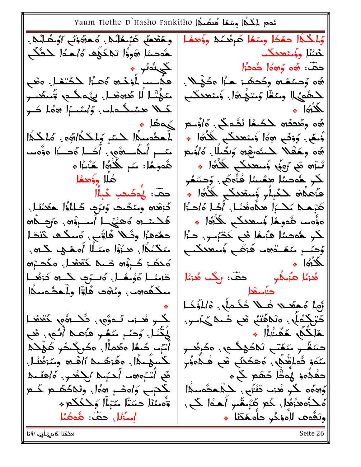Yaum Tlotho D`Hasho Fankitho تَدَهر المُكُمْ وَ Yaum Tlotho D`Hasho Fankitho وَلِمُحْكَمَا حَمَّجًا مِنْمُا مَرِهُنَكُمْ وَوُهِمُا | وِهَقَعْفَ هَبْطُلُكُ. هُءَهُوْنَي ٱوْحُمَلُكُ. هُوَدَمُلْا شَوِوُّا لَمْكَيُوهِ وَأَلْحَدُ لِلْحَكَّلِ أخْسُلُا وَوُسْعِدِكْت حقَّ: ٥٥ و٥٥/ خُوصًا ڭچى*ندۇر.*<br>قەسسا مۇشە ئەھرا ئىشقىل دەت هُه وُحسُقَه وحُحهُ: هـُ: هَ مُحَمَّلًا . لحَدُّهُ السَّمَاءُ وَسَلَّاهُ الْمُتَعَمَّدَ الْمُسْتَدَّمَةِ مِنْ الْمُسْتَدَّمَةِ مِنْ الْمُسْتَد عَكْمَتْنَا لَا مُدْهِقْمَا. بِيُمْكُنُّمَ، وََّعَمُّعْتَبِ لَكُمُ \* \* كَـــالا ھسُـــكـــمامـ. وَامْسُـــرّا ھەُما خَـــر 06 وكُنتُده للصُّمُ النُّـمكُ ). ٥/ذُـــــــم المُحكم آمْكُدُمَنْ بِهِ وَالْكُلُّابُونَ بِمَكْلُمُ الْمُحَمَّلَ وَّمَعَى. وَوْتَىي هِوَٰا وَمَتَعَدَكَنِي لِلْأَهَالَ \* مَيْسِمِ أَيْجُمْسِيُّوْمِ. أَصُباً وَصَبَٰرًا وَؤُوسَا هُه وهُقْلاً لِمُسْوَوْهِ وُبِصَلًا. هَاؤُمِع هُدوِهُا: مَمْ لِمَذُوُّا هُنُواْ ه لَٰٓ تُمْ ٱللَّهُ ۚ وَوَيْ ٱلْمِعْدَكَٰبِ لَمَدَّاثًا ﴾ َّكُرِ ۖ هُوَصِمُا ۖ مِهُنْمُا ۖ فُزُّوكُو ۚ. وَصَنَّعُرِ كُلًّا وُوُهِمُ ا فَرْهَكُاهِ حَدَّبِكُر وُسْعَدِكَبِي لِلْأَهَا \* حقَّ: إِمْكُنْتَ كَرْلَمَا كَرْهُدُه ومُكَّدَت وُبُرْحٍ كَـالمُوْا ـْهَكْنُفْـا ِ. كَبْعِيهِ مُحْسَرًا هِجُوهُمْا. أَصُلَّ وَاحِبًا كَكِسْدَهُ وَهِيُهَا أَسْتِرْوُهِ وَوَكِيْهِ ەۋەب ھُەمِمُّا وُسْعَدْكُمْ لِلْأَهُا ﴾ حِفُوءُ | وِثَى اللَّهُ فِي وَسِيْدِ عَنْصًا لْحُرِ هُوَجِئًا قُبْطًا قَبِي كَذَّرُسِ. جَزَّا مَكْتُمَا. هَنْزْا مِمْلًا أُمِمْهِي كَلَّهِ. وُهْسَا مُتَمَّـةُ٥٥ قَائِمَـ وُمعطَــَـــع كَمْتُمْ وَحَرْوُهُ شَمْهُ كَقْفُعْلَ. مَكْصَرْه \* Jóin هُدنُا هُنگُہ حقّ رگ مُنا خْلِسُا ەُوُسْھَا. ەَسەَبْ كَــْدە كَاھْــا مَتْكُدُهُنَّ. وَمُرْدَدٌ قَاوَّا وَلَمْعَدُدَمَا أَوْمَا هَمِعَنِي الْمَسْلَمِ دُهْبَهِ فِي الْمُؤْمَلِ أَخْرَجُكُمْ) . هَلاَفَتْلُ شَمْ شَمْلَكِلْسِ. بِكْــرِ هُـــزم نُــەؤَى، ثُكْـــوەَى كَقفقــا لْمَثْلُلْ وَحَسْرٍ مَعْصُرٍ فَرَعَكُمْ أَنْفَىٰ. قَبْ |هَلِنَكُمْ هُقُتُ;اُ \* ھئ*ن*گ بر مَكْتَبِ لَاكُولگەِ). ەكر*ەتى* أَتَبُ حُـهُا هَمُداًا. هكْرجُـْحُر كَـهْـْدُ ا مَكَّةٍ ثُمَاتِّكُمْ. هُھكْتُم ۚ هُم فُـٰأُهُوُرِ ۖ لْكَسِهْمِكَالِ هَفَرْهُمِكَ ٱلْقَــْـْ وَمَّرْهُلُهِ . هْمْ أَتْتَرَهْهُمْ أَهْتَرُوهُ رَجِّكُتُورٍ. ݣَاهْتُمْهَ احقُدُّه; لِمَثْلَ حَسْمٍ لَكَ \* أَوُهِمَهِ كُمْ هُذَا ثَنُتُهِ. كَـٰلَمْعَثُمِنكُمْ أَ كُدْبٍ وُاهْشٍ هِءُا. وِلْلأَحْشَـٰعِ كَـٰعِر : وْمِمْلَا حِمَيْلَا مَتِرَالَ وَحَكَكُمْ \* أَهْكِنُّوهُنُوْلِ. كُمْ هُبُبُغُينِ أُحِدًّا كُلِّي. أوتفُّوها الأودُ والمُعَذَّلا ﴾ اسْتُطُ. حقَّ: هُوهُمْا آمَانَ الفَكَّةِ الفَكَّةِ Seite 26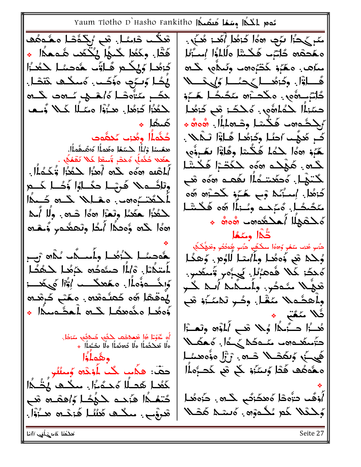Yaum Tlotho D`Hasho Fankitho المُعَمُّم الله Yaum Tlotho D`Hasho Fankitho

مْنَكُـــا حْسُـلْ. مْع رُبْكُـهْـْـل مشُــمْكُ مَبْرِ كِحِبًّا بَرِّجِ 50% كَبْهُا أَهُدْ هُنَّهِ . فَتْلَ. وكَعُدا كَمهُا لِكَكَفِ هُـمْهَا! \* مَعْدَهُ وَاتِّ كَكْسًا وَلَالَوْا إِسْزَٰنَا كَرْهُمَا وَلِيَكُمْ قَاتُو هُوَجِسًا جَهْدُا ملاها. ەھْزُە كْتْرُەھە وِتْبْدُو گەن فَسْأَوْلَ. وِدَهُمْساحِيْهَا وَلِيحْسَلاَ وَلِيحْسِلاَ لَحُلَّا وَبِـرَى ۚ هَٰوَكَـبٍ ۚ هَٰمِيكُـفَ يَتَنْصَلَّ لحصَّر مَعْتُوصًا وَالْمُسْلِي سُلْمِصْ لَكْتُمْهِ كَاتِئِسِدُهِ . مكْحِنْزُه مَكْمُحُلِّ هَـُرُوْ لْكَتُدًا كَرْهُا. هَذُوْا مِمْلًا كَلَّا وُسِعَا حمَّنطُ لِكُمُلاَدُوهِ . كَكْتُ: هُم كُرْهُما بُجِحْدِهِ وَخُمْدَا وِحْمِلْمُالِ \* هُوَ \* ەلگىغا ھ َكُثُّمَلُّا وِهُٰٓنِ مُحْقُوم كَ إِمَّا هَذَا وَكَوْهُا قَاوَّا نَـٰهُلا . همْسْلا وْالْمَالْ حَسَمُلْ مَعْمَلًا مَاصَّفَهِ الْمَالِينَ.<br>بِمَعْنِدِ خُذْمَلٍ مَحْشٍ وَسَعْدِ كَلا تَقْمُكِ . هَمَّوْ 16% لِكُمَا كَكُسْا وقُاوَّا بِمَرْوُى ۖ كَـهِ. هُهْكُمْ هُوَهُ حَكَمَّةً فَكُشَّا أَلْمَنْد هَهُمْ حَمْدُ أَهْزًا لِحَمْدًا تُكَدُلًا. كَتْݣُولْ. هُحَعُنتْـهُلُّا بِغْعَـة «هُه شَي وِتَائَـــد لَا فَوَيْـــا حَكَــاوُا وَّحُـــا خَـــــــم كَاهُدا. إِسْتُمْكُمْ وَبِ هَيْرَةِ لَكُحْتَاتِهِ هَاءِ لَمَكْتَسَبِّهِ مِنْ الْمَسْلَمَةِ لَكُسْهِمْ كَسَمًا مَكَحُطًا. هُمَ هُد وسُناً أَهُ وَكُنْتُ ا لحَقُدًا حَقَيْلَ وَتَعْزَلَ 30\$ شَينٍ وَلَا أَبْكِ مُكْتُمِلًا أُهْكَشُدُهَا وَالْمُؤْمَنَ هِهُا كُلُو وُوَحِكَٰا أَيْحًا وِنْعِعْدِمٍ وُيَصْرُو ذْكَال وسَّمُل دَّسِ هُنِ مَعْرٍ وَهُ اصْلَاقِي ۚ دَّسٍ هُمَمُمُو وَهَوَكُمُ بِعُوصِمُــا بِــِـٰٓرُوُكِــا وِلَمِــــدٌف مُــْآوِي رَضِــزِ وُكُمْ هُو ذُوهُما وِلْمُسْأَ لَلْوُمْ. وُهِكُمْ لمُتمَثِّلَ. وَالْمَا حِسْوَدُه حَرْهُما حَكْمُدًا ەُدِكَا كَمْلَا هُمْمُ}َلِ. يُبِمُّوسِ وَمَعَصْسٍ. وَاخْسِهِ وَقَالَ: هِ حَصْحَصَهِ إِنَّهُمْ فَالْمَحْسَبَ إِنَّهُمْ مَسْتَمَرَّةٍ مِنْ مَسْتَمَرَّةٍ و تَعَيْمِلًا مُتَحَصُّرٍ. وِلَمِعْظُمِكُمْ أَلَيْكُمْ حُمْسٍ مْ عَمْدَهُ مَعْدُونَ مِنْ مَعْتَ مَوْتَ وأهشُملا مَفْلًا. وصُرِ لَكْمَنَٰزَةٍ هُبِ وَّەمُدا مِدْەملمُدا كەن ئاھشەمىدَا ھ |قُلا مَعْتَم \* \* هُــُزَا حــَّنِـهُا وُلا هَبِ ٱلْمَوْنِ وِنَعَــْزَا أُو غُوُبْا وَا قَمَحْتَمَ كَثُم كَنَّافُو غَرْدًا.<br>وَلَا مُكَثَّدَاً! وَلَا دُوشَاً! وَلَا تَحَدُّداً! ﴾ ككههة بالمرك متحصد محصنه كَيْبَ وَبِكُتْبِ ٱلْسَنَّةِ ۚ وَمَثَلَ الْمَسْتَمَامِينَ ۖ وَقَوْدِهِ مِنْسَمِينَ ۖ وَقَوْدِهِ مِنْ وبفقاؤا حقَّ: فَهُمِي لَكُمْ أَوْلَاهِ وَمِمْلُو ەھەگھا كَتْلَا وُسْنُوْ كُل ھُو خُصرُها ا كَعُدا هَدلًا هَدهُمْ!. سكْـِ لِمُخْطُ أُوْفَ دَرّْہوْدَا ہُمکرّتُب گے۔ دُرُہمْدا كَتْعُـدًا فَرَحـد حَـدُكُــا وَاهقـــره شَــع هْرَوْبٍ. مىڭگ هُنُنُا فَزِكْتُه هَـزُوْلَ. كوللمُلا لَمُعر مُلْكُمْوَرُهِ . كَاسْتُكُمْ كَصْلًا المالا رهائهما للفكض Seite 27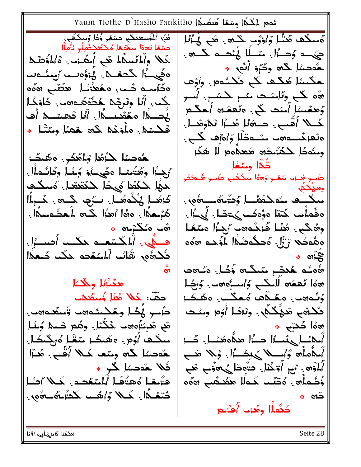Yaum Tlotho D`Hasho Fankitho المُعَمُّل الله Yaum Tlotho D`Hasho Fankitho ِّ<br>ثَنَّهُ ٱلۡأَوۡسَعۡدَلَٰٓبِ حَسَّفُہِ ۖ وَٰذَا وَسَكُفَہِ ۖ :<br>حَسَّفًا تَوَّۃًا عُفَّضَهَا مُكَعَٰذِكُمۡلُہِ ۖ يُزْوِيَٰٓا كَسَكُفَ هَنَّا وَاوْوًى كَنْهَ. هَيْ لَيْزُلْمَ حيَّـــه وُحـــزًا. مَـــلاً يَتَحـــه حــــــــه. لَّكُلا وأَلْمَنْسَمْلَ هُم أَسْمَنِهِ. وَالْمُؤْهِدَ هُدَمَنُا كُلُّهُ وِكَبُوْ أَلَٰهٌ ﴾ دَهَيْبُ الْكَحَمَـٰمْ. لَيُزَوُّونَـَـَتْ رُمِيشُـُونَتْ َـمَكْسُلَا مُكْـفَ كُلّ فُكْسُهِم. وَٱوْهَــ ەكامىم كىب. مەھدىگا ھكتى ھەە ھُہ کُے وَنَامْنے سُے کسے ِ اُسو ىگىر. اْمُل وتْرِجْمْ ـْهَـْتّْمَـْمَـْمَا . كَاوْخُـلْ ۇھگىنلا أىتت كى. ەئققىھ أھگىز بُحِـــدًا مَعْعُبِيــدًا. أَبَلْ تَعْبَيْــدْ أَف كَـــلا أُقُـب . حـــوُّل هُـــزُا لَلاَوُهْـــل. فْكَسْمًا. وَأَوْجْمُ كُلُّهُ هُدَيْرًا مُجَنَّبًا مُ ەتقزگىسەھە مشەقللا ۋاەتھا كىب. ومثوجًا حكَّدُحْدِه مُعدَّوم لَا هُكُرْ هُدَسُل لأَرْهُلُ وَلَمُكُوبِ وَهُدَا: خُمْل وسُمُل ا ہے۔۔۔۔<br>حزب میں منٹ وادہ اسکاف حزب میں منٹر<br>وفیڈکلا ُ ہِجِنُوْا ۖ وِكُتُبِيْسَا ۖ وَكَيْسَاوْ ۖ وَمِنُسا ۖ وِكَانُسْمَلَا ۖ. حكْمه أحكَمُلْكُمْ كَيْتَعَمّْدْ. مَسْكَنْفْسَ مبكس مئەللىغى الم وَحَتَّمَةُ مِسْمَةً مِنْ وَجَعَدَ كَرْهُمَا يُخْدَهُمَا. سَرَْبَ كَلِيهِ. كَبِيدًا كَبْسِمَالِ وَهَٰا أَهْزَا لَكُنَّهُ لَمْحَشَّدِسِمَالِ هِ قُولُمِ يَحْتَلَ هِ وَوَقَتَ حَيْرَهُمْ فَيَ الْمَحْمَلِ الْمَحْمَلِ الْمَحْمَلِينَ  $\bullet$   $\sim$   $\sim$   $\sim$   $\sim$   $\bullet$   $\sim$   $\bullet$   $\sim$ وهُكُم . هُمُا فَنِدُّده رَجِّزًا مِنْهُا في أَمْلَكْتَنْفِ مِكْتَبَ أَصْبَرًا. مِقْمِحُلا ۚ رَ ۚ إَلِ ۚ مُحِكُمِصُكُلَ لِمَوْحِدِ مِمَوِهِ كُلْمُهِ رَغُانُكَ ٱلْمُتَعَجِدِ حَكْبٍ حُتَّمَدًا ு வாக ھُوئُم مُدَكَّرٍ مُنْكَلِّهِ ۖ ذُكُلَّ. وَيُنَهُفُ هگُنُرُل وِلْكُنُل 10% نُعفوه لامكْب وُامِيرُهومب. وُرِجُل حقّ: كَلا هُنُا وُسِعَدِ ۇشەھەر. ەڭگەن كاھگىلى ، ەكلىكىز دُمِ لِكُمْ وَهُكْسُدُهِ وَمُعَدِّدِهِ. ثَكْشَى شَوْكُكُو. وِلْأَصْلَ أُوُمْ وِمُصْت هْمْ هْرِيُّوْهُو، حْݣْدْلْ. وهُمْ شْمَا وُمُلَّا  $\bullet$  أَهْ $\bullet$  أَكْتَرَى مىڭگ /ۇەر. ەھْمَدْ: مَغْلَ ەْرِكْبْحَلْ. أَسكنا حَسَرًا هَدَّةٍ مِنَّا الْمَسْرِرِ الْمَدَّةِ وَمَسَرَّرٍ مِنْ مَسْرَرٍ هَ الله عليه الله عليه الله عنه الله عنه الله عنه الله عليه الله عليه الله عليه الله عليه الله عنه ا أَحِدْهُ وَاسْطًا يُحِدُّا. وُلَمَّا شَبِّ ئُلا هُ٥دسُا لُكرِ \* ٱلْمَوْنَ ۚ وَلِيَ ٱوْخُدَا ۖ دَيْهِ١ كَـ وَهُوَ ۖ هَـ مِنْ الْمَدَّوْمِ وتُزِهْلُ وَهِتُرْقَبِلِ أَبْلَيْتَعُجَدِي لَكُلِّي اَصْلِ وَحْـُـملَهِ . هَتَنَـــ ـمُــملَّا همَّنمَـــع هوَه كَتْعُـدًا. كَــلا وَاصَّــ كَحَتْنِمَـصَوْى. ⊱ တ⇒ حُذُه أل وهُن، أُهْزَمِهِ المُأَا رِجَامَ لِمَا الْمُكَمَّ Seite 28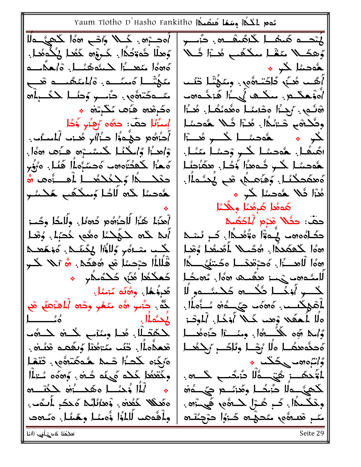Yaum Tlotho D`Hasho Fankitho المُعَمُّم الله Yaum Tlotho D`Hasho Fankitho يُتصله هُلهُــا كَاهُلْقَـــهِ. حَنْــــــو | أُوجِيَرُهِ بِـ كَمِيلاً وَأَنْبِ هِوَٰا كَلْحِيَىُكُمَالَ وَهِلا خُورُكُما. كُـرِزْهِ كَعُما لِكُـُومُرا. وُهكَــا مَقْـا مكْفُبٍ هُــْزَا ثَــالا أمره أمساء المستوفين المستحد المستحد المستحدة هُوصمًا لكو ﴾ أَِهُــد هُــَٰٓنٍ ۢ قُاحَـتّــهُٯِ . ومَعْهُنْـا حَنّـد مَكَهُّنَّا مُسَّے. ةَالْمَعُمُّـــه قَبِ أَهْوُهِكُــمْ. سكُــفَ أَيْــزًا فَزَحْـَـهِ الْمَــوَكْتَبَهُمْ. دَّرَـــرِ وَحِنُــل كَـدَّــرِلَه هَنَّــمٍ. رَجِــزًا مثَـاممُــا مِعْـممُــا. هُــزًا | مصَّرِهُم هَزَمَ مَحْرِبْتُم \* وِهَٰدِهِ جِ شَيْدًا. هُنْ أَنَّمَلا حُوصِمًا | إِسْزُلَا حِمَّ: حَوَّهِ رَّفِيْنِ وَجُل أَدَّاثُهُ مِنْ مِنْ مِنْ أَرْأَآءِ هُـَـٰٓ الْمَـٰلَفَ . وْاهِدُا وْالْحَيْدَا حَسَيْدَهِ هِـزَهِ هِوْا. اصَّعًا. حَْصَصُلْ حُبِ وْصِمًا مَمْلًا. هُمُرَا لَكُفْتُوهِ وَحَسَرُهِ أَا فَقَالَ وَرُؤْمٍ هُوصِبُــل كُـــرٍ شَـوهِزُا ذُكَــلَ. هكْزُحِبُــل حْفَفْ وَلَا دُخْلَفْ لَمْ فَرَوْهِ وَ وَلَى مَنْهُمْ وَلَى مَنْهَا وَلَى مَنْهَا وَلَى مَنْهَا وَلَ ەَمكَحكْتُـا. وَهَزَهــكَم هَــ لَهَشَــْمَلَا. حَدَمثلا حَلاه الْأَسْلا وَمَعْكُفَ حَمْلِسُو هُٰزًا ثُلا هُوصِمًا جُرِ \* كَمِعُل كَبِعُبُل مِلْكُبُل أَهَذَا هَٰذَا لَاحُوْهُمْ دُهِنَا. وِلَاحُا وَحُبَ حقّ حثُلا هَرْمِ ٱلْمُكْمَدِ أبط كمع حكَّمِكْمَا مِعْمٍ خُصَمًا. وُصْلَ حَصَّاهُ٥٥ڡ } عَوْدًا هُ وُهُمْ هَا }. كَبِ نُسْمَهُ ادَّةَ الْكَفَعْدُمُّا. شُكَّىلاً لِمُعْنَفِظِ وُشَا كَبِ مْسَامُرٍ وَالْوَّالِ لِكُنَّكَ. هُوَهَعْكَمْ قْلَلْمَا حَرْحِمْلُ هُو هُوَهُمْ. ۞ آللا لكْس الْمَسْدُلِ. هَجْرْتَعْمْدْ الْمَسْلَى الْمَسْ الْمَسْلَمَ كَ**م**ْكَعُلْمُنَّة كَكَمَكْسِ ﴾ لَامْشُەھە ئېسز ھېھىدى ھەرا. مُەمشا كُــــــو أُوْحُــــا تُكُــــــە كَـكــُـــــــوو لَل ِ هَٰدِوُٰهُمْلِ. وَرَكَّهُ مُزْمَمُلُّ. بِثَّةٌ . جَنُّبِ 6ُ٥ مَنْعُرِ وَ3⁄2 أَلْمَـٰٓزَىٰٓئَى مَّى الْمَهْكْسِ، هَهْمَتْ حَيْثُهُ شُنُّهَا). وَلَا لِمُعَكِّدٍ وَهَبَ خَيْلاً أَوْجُلَ. أَمْوِضْرَ لمحشملا . | كَتْݣُطْلْ. هُـا وِمْنْكِ كُــفْ كَــفْت وُامِدْ هُوهِ لِلْأَكْسِرْهَا. ومِنْكَسْأَلْمْ هَوْهِ مُحْكَمَلْ هْدهاً و اللَّهُ عَنْهُمْ وَاللَّهُ عَنْهُمْ وَاللَّهُ . هُحِذْهِهَا وَلَا رُجْسا وِنَاحَـــرِ رَجِحُعَــا هَٰٓجَٰڹٯٖ حَكْسًا صْهِ هُـٰهِمَتَّوْهِ وَلَـٰهَا وَلَـٰهَـٰ أَوْاسْبَهْ مَصْرَ مِنْ مَسْتَمَرْمِ مِنْ مَسْتَمْسَ مِنْ مَسْتَمْسَ مِنْ مَسْتَمْسَ مِنْ مَسْتَمْسَ مَعَ مَنْ الْأَسْتِ وَهُمْ يَدْهُمْ بِهِ مِنْ يَدْرِي مِنْ يَدْرِي مِنْ يَدْرِي مِنْ يَدْرِي مِنْ الَمِنَا مَعْمَعٍ مِنْ مَنْ مِنْ مَكْمَ الْمُعَنَّفِي كمهيَّــهُ الصَّنْدُ الْمُحَمَّــــمِّ صَهْدَةٌ أَلَمَلَا وُحِنُـــا هِ هَجَــــُزْقَ حَكْتَــــْتِهِ ەكْتْݣَلْا ݣْتُلْاتْق. ۋْھْلْانْلْكْمْ كَاحْكُمْ لْمُتْقَابْ. وِمْكُمْدًا. كُمْ هُمْلْ لِمُحْتَامِ فَهِيْتُهُ . وِلْقُوعِيدِ لَالْمُوَّا وُوْمِيْلِ وِيَعْشَلُ. وَيُنْوَف مَـٰـٰٓ مْنَـٰدُہ مَّـٰحَـٰمَٰٓ کَـٰٰٓٓٓٓہُوا حرْجِنُنَـٰہ المثالة محفائي بمثله المفكعة Seite 29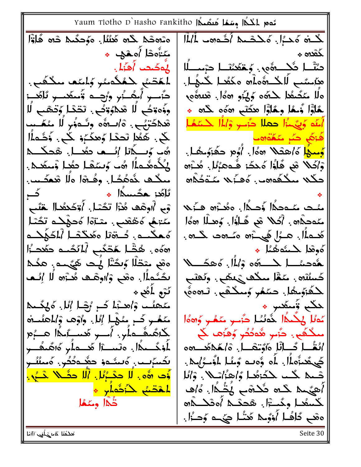Yaum Tlotho D`Hasho Fankitho المُعَمُّم الله Yaum Tlotho D`Hasho Fankitho ه ْ تَوْجَدْ حَدْ مَنْتُلْ. وَوَحَكُمْ خَرْهِ قَاوَّا لَّكْتُ مَحْبُرٍ!. مُحْصَّحْ أَضُوهِ لِمُلَمَّا مَتَرْهِدًا أُهِمْهِي ﴾  $\frac{1}{2}$ | لمُوَهَّمِ أُوَّزُلُ دُنْسًا ثُكِـــةُى. وُحْكُمُسْـا حَبْمــلًا هَاسسُب لَاحْدُوهُا وَحَمُدا حُدُمِّا. لمَصَّبُ لِمُلَّمِنُرِ وَلِمَم سَكَفَبٍ. حَدُّسِينَ أَيضُــأَبِي وِرُجِــدِ وَمُتَعَمِّسِينَ لَلصَّبِدِ: ەللە مەئىگىلە كىڭدە كوڭبۇ ھەرك ئىستۇھى وِذُه; مُ لَا هُلاَوُوْمُ . تَتَحْلَ وُتَـٰهُـبِ لَا هَارًّا ذُهَا وِهَارًّا مِكْتَبٍ 200 £20 ﴾ هْدْكُرْبُــ ، هُ *انــ*اهُه وِنُــهوُّرِ لَا مُنْصَـبِ أَمَّه وَيَجْدًا حَمَلًا حَزْمَةٍ وْأَمَّا كَمَنْهَا ۖ فَرْكُمْ حَبْرِ مَكْفُوهِ ݣَـ . هَعُدا تَحِدْا وُهكَّرْو ݣَـى. وُخْـُماًا <mark>ۇسۇل</mark> ەُ/ھقىلا ھەل. اُوُم ھۇزۇمھال. ، هُ- وَسَــدُنَا إِنْـــم حَعْـــا. هُحكّــــد وْأَكُلًّا هُمْ قُاؤُا مُحَكٍّز فُـُـمِّئُوا لِ. هُــْرَى لْمُحْمَدُ أَلَّهُ وَسَنْقَا دَهُا وُسَعُدٍ. مىڭى ئەڭكا. وفْـۋا ەلا قىمكىب. حكْلا مىڭگەھەر. كَھْزَىلا مْتَوَكْلُاھ ىُلمَّد: ھڪُسط<sup>ُ</sup>ا ÷ سُت سُمْحَمَّا وَجِيمًا. وهُنْزُو فِيَّة وْجِ أَآوِهُڢ مُنْزَا تَحْتَـلَ. أَوْحُحْمُدال هَنَّب مَّدَدِيَّةٌ وَكُلاً هُمْ قُبَاؤُلُ. وَهَبَالُ 10% مْتَبْعُ هَقْفُبٍ. مْتَآهْ أَهْمِكُمْ تَكْتُلْ ەْھگىدى خىقتا ەھككىل لىككىد مُحملًا. هـرًا في آه منّصوب حـده. هِ مَنْ الْمَحْكَبِ أَلْمَنْكُ صَلَاحًا |ەوقىل كىشەھگا ھ ممْم مِتْقَالَ وُبِكُتْلَ لَمَتْ مِنْهُمْ مِنْهُمْ وَمَنْهُمْ مِنْهُمْ مِنْهِ مِنْهِمْ مِنْهِ مِنْهِ كَسْتَتَمْ . مِكْنَ صَكْمَه لَهُمْ . وتَعْتَبَ يْشَمْلَا. وْهْدِ وْابُوْشْكْ هُنْزُو لَلْ إِنْتُ لْمُخْزَوِّىهَا. حَنَّمُو وَسَكَّفْعٍ. لَـ300ْ | نُرْو لَمُعْ \* للكم وَسَعْسِ \* مَعْصُب وْاهْتْمَا كُمْ رُضًا إِمَّا. كَهْشُمَا كَمْلَا لِكَـٰـكَٰا حُمُّنُـا حَنُــو مَـُـهُـو وَهِمَّا مَنْصُبٍ كَبِرٍ مُنْهَا إِنَّا. وَأَوْهَى وَٱلْمَنْسَةِ مىڭگىم. دَّىر ھُەككْر وُفَاھ كُم كَاهُدْهُــداُر. أَـــر هُـــــاَـدًا هـــرُم الُغُّا كُلُّلًا %َوْتُعْمِلُ. ۞ كَمْلاَهُــــ 200 ِ لَمُوَحَّـــٰــٰمَاً }. دَنْـَىــَـالِ كَالْمَــوا كَاتَّـَـمَــٰفِــــِــِ كَيكْتَنْهَا أَ. لَمَه وُدت وُسُلْ لمُؤْسِرُ لَهِمْ. لكُمبُرْتَبَ وَتَسْتَوْدُ حَيْجُدَدُكُو . وَمَعْلَفُو <mark>َوۡت ۞ُهِ. لَا حَضَـُرُمَٰلَ. *أ*َلَا حَضَـُـلا حَـَـٰى}.</mark> تَسِيم كَسَبِ لِكَمَرْهُمَا وُاهْزُاسْلًا . وْالْمَا <mark>لمقشه كَرْڅُملُر ﴾</mark> أَهِيَمِيمَ حَدَمَ هُدْهُبٍ لِمَظْهَلَ هُ وَاص كْمِعْطِ وجُبَّرَا. هْجِيْجا أُوضْحُوهِ ذُكَم الصَّعْل هِ مَعْلِ كَاهُمْ أَوْمُهُمْ هَنْنُمْ حَيْءٌ وَحِبًّا. تَعَلَّمُ الْمَسْتَمَامَةِ الْمُسْتَمَامَةِ الْمُسْتَمَامَةِ الْمُسْتَمَامَةِ الْمُسْتَمَامَةِ الْمُسْتَمَامَة Seite 30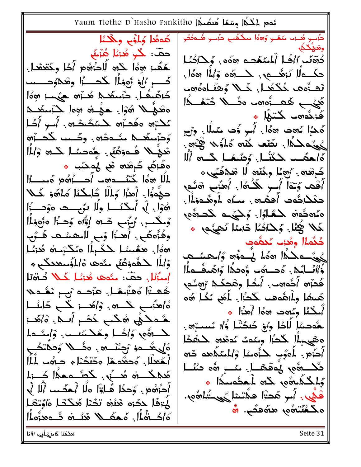Yaum Tlotho D`Hasho Fankitho المُمَمَّل الله Yaum Tlotho D`Hasho Fankitho عَبْسِ هُـ : مَعْسِ وَاهَا مَكْفَبٍ حَبْسِ هُــدَتْنُو كَمَعُدا وُلْمُو وِلْمُسْلَم حقّ: كُرِ هُزْمًا هُزْمً دُقْفَ ٱاهْا اْلْمَعْمَدِ 30ْ0 . وَحَادُمُا هَكَ وَوَا كُلُّهِ لَاحُرُوهُمْ أَحُلُّ وِكَقْفَطَ. حكَّــه اللهُ عَلَى مَضْــم من قائل الله عليه الله عليه السَّمَاء . تَعَزُّدَهَا مُتَكَعُلُ. كَمِلاً وُهَنَاهُوُها كَاكْمُفْلْ. حَزْمَعْكُمْ هُــْرْهِ هِيَّىبْ هِ٥ُﻭَ أَهْيُبِ هَمِيَّةُ مِنْ وَشَيْبًا كُتُمُسْلًا وقديم الأولى هيده ودا لتنسكك |قزئەەب كتىما \* كَحْبْرُه هَفْتْرُه لْحَسَّمْتْسْهِ. أُسِر أَهْل كَحَبُّ أَنَّوهِ - 30\$. أُمر وَّد مَمْثُلًا. وَزْيَرَ وُجْتُمَعُدُ مُدَّدِّدٌ . وَجَسَدَ لَكُحَنَّةِ يُوْتَكُمْ الْمُحْلَّفَ الْمُحْمَدِينَ وَالْمَحْمَوْرِينَ أَمْلَى لَا هُـدوْكُلٍّ. هُءَدسُـل كَــده وْالْمَلَا كَاهِمَّــد لِكَتُّــل: وُصَّـمُــل كَـــرَّة أَلَّلَ ٥كَزْكُمْ كُرْتُلُاهْ ثُمْ لِمُحْبُبْ \* أَحْرِهُدِهِ . }هِمْا وَحُلْتِهِ لَا شَدْفَعُيِي \* الأ اده المُتئَــوه أحــأدُوم وَمِــأمَّا أَهْمَا وَتَوَا أَسِرِ لَمَدُوَّا. أَهْنَى هَنُمِي حهْمَوُّا. أَهزًا وَلَمَلَا كَاكْنًا مَامَّوْ كَــلا حَكَمْحُوث أَهِقَـهِ . مِــَأَهِ لَموهُــوَذَأَلِ. ، هُوْل: ﴾ أَمْكُنُسا وِلَا يُوسِت هُوصةُ! هَ مُحدَّثَة مِنْ الْمُسْلَوُلُ. وَلَمَنِي مَا حَدَثَةَ مِ وُمكْسِنٍ. رُيَّنِي شَدِّهِ إِوَّاهِ وَحِسَرًا هَ وَهِ لَمَ ا كَمَلًا يَجْتُلْ. وَحَكَاظُمْ دَمِمْا تَعِيَّمِ \* . وِقُزُّهِكُمْ ﴾ [اُهنُّوا وَمِن اللَّحْسُنُـٰهَا الْعَشَامَةُ وَمَنَّى اللَّهَ | كُثُما| ومُن، كَحْقُوب ادَهْمْ : هَمُسُلْمَ لَكُبِلًا مَكْتَبِــة هُـَـٰهُ بصلىصاؤ مآه في لمؤم المكصري وْالْمَا لِحَقَّدَوْهُمُ مِنَّدَتِ وْالْمُوْمِعْدِكْمِ \* ذُٱٱلُّــالُّــا} . ٥َحــــةُڡ وَّ٥حكَّا وَاصَّــقَـــماًا إمآزال حقَّ عَدْه هُ هُوْمًا كَلَّهُ مُؤْمَّل َفَتْزَهَ أَخُمُهَــٰ. أَنكُـا وِهْتِكُـٰهُ رُهِنُـُهِ لَّهُ هَيْ أَوْقُوْمِهُ أَنْ مَرْحَدِهِ رَبِّ رَضُويَهِ كَعطَا وِلْمَقْوَمِ لَكْتُوا ۚ. لَمَٰى نُكُلِّ هُو ەُ اهْنَىب كەن. ۋاھْد كىب كالمُسا أَمكْنُا وَيُهِد هِهَا أَهْزًا ﴾ هُـهِ حكْمٍ هُكْبٍ هُـصْعٍ أَبِـهٍ. ةَاهُـــز ِ هُوصِمُا لَاحُا وِرُوْ كَبِكْتْبَا وُارْ يُسِبْرُهِ . لمَسْتُوبِ وَاصُلْ وِهُكْسُبٍ. وْاِسْسَاءَ ههجراً لمحتُزًا وسَمَعَتَ مُمعْدِهِ للطَّفَط ەلى ئېسىم ، «ئېسىلە ، «ئىسلا كۆھكتىگىچى» أَدَٰوَمَ. لَمَوَّبِ لِكُوْمِنَا وْٱلْمَكَلَاهِدِ دْ3 أَهْمَلاً. هُدَهُمْ هَا هَ الْمُتَمَاءُ حَسَّى الْمَا طُــِرةُو لِمَوْهَــا مِنْــرِ هُو صُلُــا وَلَمَكْكُمُ رَوْهِ لَكُمْ أَحْدَثُهُ مِنْكُمْ \* أُدَرُهُم. وُحِكْلَ قَبَارَةُ! وَلَا أَيْعَصُبُ أَلَلَا أَيْ ِ قَبْلٍ . أَسِ هَجْزًا هِمَّتْسْلَ <sub>كَعِنْ</sub> -تُلْقُون. لَمَ وَالْحَدَى هَنُهَ تَحَبَّا هَٰكُكُمَا هَٰؤُتَهَا ۖ  $\circ \mathring{\mathcal{L}}$ ەنگە ئەنگەن قە كَاكْتُمَالْ. كَمْصُلا شَنْتُ شَـْمَعْزُهِ أَ

المثالة صفائي الفكمة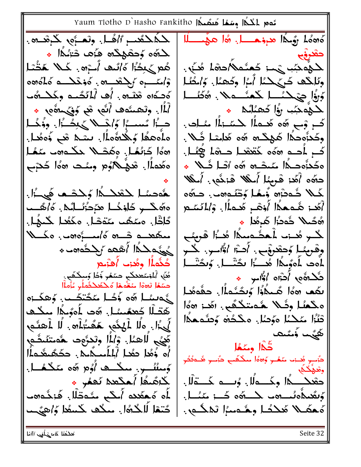Yaum Tlotho D`Hasho Fankitho |أَشَاء بَعْضِهُمْ الْمَسْمَاء لِكُمْكَمُسِمِ ٱاصْلَ. وِتَعْرُى كَرْمَحْتُ . لمَدَّهُ وَحَصَّهُكُمْ هَزَمَ شَرْبُكُمْ ﴾ حقوقه هُم يُحِكُرُا هَانَسِ أَسْرَهِ . كَــلا هَتُمْـلِ . مِنْمَهُ لَمَّاءَ الْمَسْمَدُ نِسْرٌ سِبْدَمِيْكَ وِلَلكُف خَرِيَكِمَا أَمْ ًا وَخَعْمًا. وَالْخُلَا وْاْسُمْ وْكَالْمُحْسَنَةِ وْهَالْمَدْ وْمْلَادَة وَرَوْا حِيْكُمْ لِمُسْمِلًا ، وَكُفُسَا َهُدَمُاه هُلُتُهُ . أَهَا أَلَمُكُنه وِكُلْتُهُنّ أَلَمَا . وتَعتَدُها أَنَّه هُمْ وَفِّي وَهُمْ وَمِنْ وَمِنْ مِنْهُمْ وَمِنْ يَعْلَمُونَ مِنْ الْمَ لِمَحْكُمِينَ رَوُّا كُتْعَمُّالُكُمْ) ﴾ كَبِ وَبِ هَٰهِ هُـماًا لِكَـمُـزَاًا مُـات. حِبُّا مُسْبِرًا وَٰاجْبِـلا كَلِمُتَّارِ. وَذُكُـا وحُدْزُهِ حِمَّا هُمْ حَمَّة هُو هُلْتِ أَحَلاً . مأەھعُل وُلِكْتُوماً!. ىشك شى وُومُعا. الأمَّارُ مُؤْتُمًا. وَهُصْلًا مِكْدُوما مُنَعُلًا كَبِ لمُحت 200 حَقْفَصَا حَـــوْهَا هِجُنَــا. ەكدۇەھىدا مىشىدە ھە اقىل ئىللا ھ 5هُداً ). شَدْيَــــا\$وُم ومنُــت 30% كَـُدْمِـــ حَقُّه أَهُدْ فَمِهْلَ أَمِثَلاً فَنِئُهِ. أَمِثَلا حَدَمِنَا لِمَتَعَلَّمُ الْمُحَدَّمِ فَهِيمًا. كَمِلًا حُمْدَرُه وُمِعًا وَتَشْمَهَت عَلَيْهِ ەھَكىر كَافْخُىل ھەَدَىُّلىگە. كَاھْــ أَهْد: هُـمـهـٰهُا أَوْهَـم هُـمـهُاْ. وْٱلْمُنْــمْ هُصُلاً خُودُاً مَرمُداً ﴾ كَاذْل. مىمَعَّى مَةْشَا. مِكْعُدا كَتْمُا. لْكُــرِ هُـــزما لْــمْــُـــمىماً هُـــزًا قَـرَمِهُـــر مكعب شاه أمسؤه بن مك \* مەمئىكى ئەھمە / المُكەرْمِنْ وِقْعِهُمْ إِحْقَدِهْمٍ . أَحِنَّا الْأَاسِرِ. ݣُــُر لِمُحب لِمَوْسِكًا هُــــُرَا بِكَنْـــــــا. وُبِكَنْــــا كَثّْمَلَأَ وهُذِب أُهْزَمِهِ هُنَّه ٱمْلَوْسَعَدِكَـــحِ سَمُو وَّذَا وَسَكَــُع .<br>سَمُا تَــهَا مُنَعَّمَــهَا مُــحَمَدَتُملُو غُنُّماًا لكُف هوُا مُتَكُوُّا وَيَحَيَّمَاًا. حَقَّومُنَا يُوسُمُ أَوْصًا مَكْتَكَـبٍ. وُهكَـزَه مَكْعُمُا وِضًا ۖ هُـُمتَكُـفُـمٍ. الله: ٥٥١ لْعَتْـلًا جُعمُسْل هُت لَمْهُمْلًا سِكْتَ تْنُزْا مَكْسًا هَوَمْلْ. مْكْتُرْهْ وُمِنْمْهَا ا بِصِنْتِهِ أَلْمَ الْمَحْمَدِ بِصَٰلَهُمْ لَمْ الْمَرْجِعَةِ مِنْ الْمَرْجَعَةِ ىگىنى كېرنى هَيُّي لَاهِمُّا. وْاٰلَمَّا وِتَحْوَّدَ هُمْتَنَبِّدُو ذَكَرا وسُمُا أُه وُهُا حهُدا ٱبللَٰمـــكَمــه. حكَـهُــمقُــملَٰا دَّەبِر رُفتە مَمْنز وُ‰ا مَكْتَفت دَّەبز ھُندَدُدْر وَمِيلُكِبٍ. مِمْكِنِكَ أَوُمْ هُوَ مُكْمَلٍ. حقْفِيهِ وَالْمُسْمَلَانَ وُسِيعَةَ حَسَنَةً لَلَّهِ وَسَيَدِينًا وَالَّهَ - كَاثْمَىقُل*ا أَه*كْعَد*ا نُ*عِهُرِ \* لَمْ هَمَعُدِهِ أَسْكُمْ سُهْدَلَا. فَزَخْهِ وَهِ ۇيگىمەدگەنسىھە كىسىز مىلسا. حُتْقَا لَلْكُوَّا. مِكْفَ كُنْبِعًا وَاهِيَبْ هُمصًا مَلَكُم وهُـوسرُا تَمْكُـونِ. تَعَلَّمُ الْمُسْتَمَامَةِ الْمُسْتَمَامَةِ الْمُسْتَمَامَةِ الْمُسْتَمَامَةِ الْمُسْتَمَامَةِ الْمُسْتَمَامَة Seite 32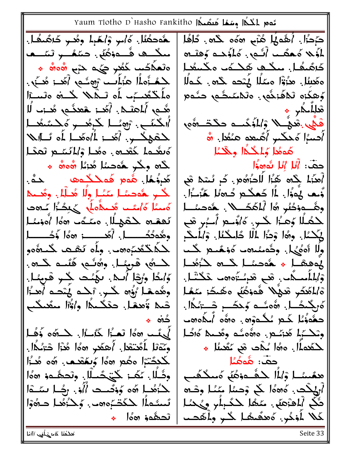Yaum Tlotho D`Hasho Fankitho |أَشَامَ اللهُ عَلَيْهِمْ Yaum Tlotho D`Hasho Fankitho دَّدُّا. أَهُم) لَمْنَى 300 لَاه. كَافَا هَ ْدَحُمُلُ ۚ أَيُ إِلَّا وَٱلْهُمِ لَهُ وَهُد لَّا تَحَدَّكُمْ }. مىڭىگ قىدۇڭگى. ھى*نگى*س تى*نى*ك لْمُوْلَا مُعْصَبْ أَنُسْمٍ. مَلَوُّهِمْ وَقِسْمَ ەتمككىب ككبر كى ملاب <del>ئ</del>ەەئ كَاثْمُكُلْ: مِنْكُ هُكْتُمَ مَكْمِعُطْ لِحَمَّـٰٓ: وَاللَّهُ عَامَلُهُ مِنْ اللَّهُ مَنْ اللَّهُ مَنْ اللَّهُ مِنْ اللَّهُ مِنْ اللَّهُ مِن هَمَّسُلَ هُزُوَّا مِمَلًا يُتَجِم كَلِّهِ . كَجَلًا ەلمىگكىسىگە لەشكىلا كىلە ەتىسال وُهكَّرْه لْكَفَرْخُوج. ولْكَمْسُحُّـوم حَنُّـوم هْلِلُمُعْرِ هُــمِ ٱلمصْــمِ. أَهُــ; هَعنشَمِ هُــ; ال قَمِّي فَيُوشُم وَالمُؤْمَسِهِ حَكْتَسْوَهِ وَالْمَرْجَعَةِ أَاكْتَبَ . رْهِنْـا كْرِهْـــو كَكِتْتَعْــا لحقهكسر. أهَس: أاههَما أه تُسألها أَحسُرًا مَحكَّىرٍ أُهُىعه هنُعُل. قُ ەَىشَـما كَتْفـرە . ەھُـا وْ/ائىنىـم تىمْـا كَمِعُدا وَلِمُحْكَمَا وِلِحْكَمَا  $\int_{0}^{2}\cos^{2}\theta d\theta$  الله الله عن أبل كَة وِكْدِ هُوصْدَا هُزْمًا قَوَّةً ﴾ أَهَذَا كِلَّهِ هَذَا لَلصُّوُّهِ . كَرِ نُسْمَ هُم هُدِوُهُا. هُمِ هُمَعَكُمُ هَ مَدًّ. لكبر لمُوصِبًا مَبْالٍ ولَا هُلْلًا. وهُلما زُّمِهِ إِيَّهُ}. أَا كَعِكْمِ كُ3ْمَا هُزُمْ}. كَمِيْدًا وَاسْتَ مِنْ مَاهَ مِنْ مَاسَدَانَ الْمُدَةَ وهُــودُنُو هُا ٱلْمُكَــــلا . هُوَجِسُـــا َكَتُعَلَّا وَهَـٰٓا كُبُرٍ. ۚ هَٰاؤُسِعِ ٱسْبُرٍ شَي أَنْعَفَـْمَ لَكُمْلِيَاً. مِنْـُمَـٰ مَاهُا أَوْمِنُـا يُكْمَل. وهَا وْجُرَا لِمَلَا حَلْكُمُلْ. وْكَلْكْرِ لِمُلْكَفُدِّرِهِ وَمَنْ يَحْمَدُ لَكُمْ الْمُحْمَدِينَ وَمِنْ الْمُحْمَّرِ وَمِنْ الْمُحْمَّرِ وَمَ وِلَا أَدَيُّكِمْ. وِحُمْسُدُه ذَوْهُبِ كُبْ لمستُمْ وَهُمُسْكَ فَقَدْ الْمُسْدِدِينَ مِنْ الْمُسْدَدِينَ مِنْ الْمُسْتَدِينَ مِنْ الْمُسْتَدِينَ لمفظر مكاملة الشعف المقعط وَٰآٰىكُمْ وَٰٓٓٓٓٓٓٓٓٓٓٓہُٓٓ فَیۡ ہُمۡتَد ہُنَّے ہُوۡہُنَّا ۖ. وْكِلْمُسَمَّد. هَي هُرِمُتُوه، حَكْشَلْ. وِهُمِمَّا رُؤُه كُبِ. آكِمَ يُتَصِم أَهْدُا هُ/اهۡکُم شَوۡلًا ۖ فَءوۡکُلٖ ہ کَمَکۡ; مَمُا ەرگىئـــا. ھُەئـــە وُھئــــ قــــــْمُلًا. صْهْ وَهِمْاً. حَكَـٰدًا واوْٓا معُنكَب حَقَّقُومًا لَحْتَمْ مُكْتَوَرُهُ . وَهُوَ أَسْلَمُوهَتْ ∻ တံ⊃ إِنَّ مِنْ الْمَوْالِمُ الْمُسَارِ. لِمَسْتُمْهُ وَوَصَّلَ وتكبِّط هُدَيِّكُ وهُ وَهُوَ وَهُدِيهِ وَادًا وَعَّةَلَا لَمُعْتَقَعَلَ. أَهمَّعَبِ هِءُا هُنْزَا شَرْكُمَا. لمَعْدِماً أَ. وَهَٰا مُكْتَ هُوَ مُعْدِمًا \* حقَّ: هُوهُمُا كَدَكْتَرَا هِ هُمْ رَوْمُ مَعْشَفٍ. هُمْ هُـُزَا ھىمَسَا وْاٰلِمَا كَــُــودُكَ وَمَـكَــَـب وثَــلًا. مُكَــز لَكَــتِكْــلًا. وتَصفُـدو 30% أَرْيُكُت. هُ‰ا ﴾ وْحسًا مَنْدا وشَه َ كَنُوْصًا هُوَ وُوْثَعَــدَ ٱلۡوَٰٓ ۚ رَجُـٰلَ بِمَـٰٓءَا لَسئَماًا ۖ كَكُتِّرُهِ مِن ۖ وَكُنُهُما ۖ دَهُوۡا حَكَّى ٱلمُعْتَوَّمَةِ . مَنْهَا حَكَيْلُو وَيُحِبَّا كَلًّا لَمَوْدُرٍ. هُمْقُمْعُلْ كُلُّرٍ وِلْمُحَمَّد لْحَيْقُوذِ ۞ أَهُ ﴾ المثالة معفائيها الفكفة Seite 33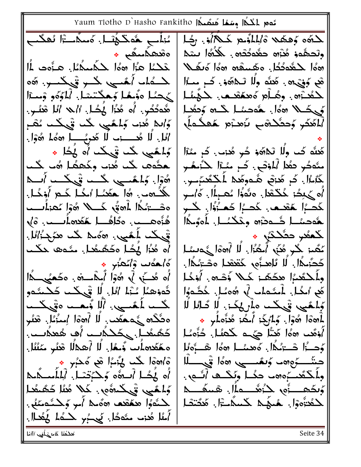Yaum Tlotho D`Hasho Fankitho |أَشَاء بَعْضِهُمْ الْمَسْمَاء مُنِلَّبٍ هُمَدَّهُنَّا. هَمكُمَــْتَ لَعَكَب لِحْمَى وَهِمَكَ وَالْمُلَوَّسِعِ كَلَّاأُوْ. رَجُل وتَصفُّوف مُنْزَرِه حَمُّدَكُتُوهِ . لِلْأَرْهَا لَسْلَا ەقتقكمىقى \* حْكِمًا هُوَا هِهَا حَكَمِيكُمْا. هِؤُوب لَم ادهُ المُعْدُدُ اللَّهُ مَعْسَفُهِ (وَهُ) وَيَعْطِل لمستُملم أَلَهُسي لَمُسو تَوَيَكْسو. 60 هْمِ وَفِيْ£ . مَحْثُه وِلَا تَـ\$هُوْ. كَــرٍ مــارا لِّحِمَا وَذَهَا وَحِكْتُمَا. أَلْمَوَّو وَسَأَلَ لْحَمْدْ; وَدَعْلُو هُمْقَعْمٍ. لِحَكْمِمًا | هُددُکُر . /ُه هُنُا لَمُکًا . // \ /ُلَا هَنُـر . كَيْݣَالْا رەھْلْ. جْھُدْسْلا كْلْتْرَة كْتْتْمَرْغْشْلْ ٱلمَّكُر وُحثَكْشَى نَاهِنْهِ هَعَكُمْلَا َوۡاللہِ ہُنا۔ وَلٰمَصۡیٰ لَگ شَیۡکَ نُصۡم کَ أَمُل: لَا هُــــــزم لَا هُدِيُ ــِـل هوُدا هُوٓا. هَٰنُه کَب وِلَٰا نَدْهُوْ حُرِ هُٰذِبٍ. کَبِ مَٰنْاًا مَّةَ الْمَمْ أَمَّةَ مِنْ مَكْنَ مَنْ مَكْمَةٍ مِنْ مَكْتَبَةٍ مِنْ مَكْتَبَةٍ مِنْ مَكْتَبَةٍ مِنْ ۔ حدُّہ کہ گنا ہُنا و کُھکُما ہُ کہ مثَّدَکُو تَعُدَا ٱلْمُؤْتَى ﴾ کُس ممْـآل للأَمْصُـو ، ھُوْلِ، وَلِمَعْسِي كَسْبَ قَدْ كَسَبَ أَنْسَكَ كَمَّالُ: كَرِ هَٰذِتْنِ هُـٰدَوِهَٰذَا لَمَكِّفَدَ مِنْ . لْحُدُهِبٍ. هَٰا حَقَصُا ٱلْحُلِّ خَلْعَ أَوْحُلٍ. أَه جُبِكُ; هُكُمُلْ. هِنُمُوْا مُعْبِلًا. هَ/سو وْتَـــْتِيْكَا لْمُوتَى كَـــْمَا هُوْا يُعْزَلُهِــب لَكَحَــرًا لَمُعْنَــم، كَحــرًا كَمــرُّوُّا. كُـــر | فُزُّەھىسە. ەڭلۇسىل ھَكَدەلمىسى ۋاپ هُوَصِيْطٍ شَـوْتُوهِ وِخْكْسُطٍ. لِمَوْمِدًا | كَـْـْمَعُـْرِ حَثَّـْـْـْكَـْرٍ ۚ \*<br>| يَـْمَـٰزِ بِكْـٰرٍ مُّنَىٰ أَبِـمُّنُٰٓا ِ. لَا أَ10% كَـْـٰفِـيْـا قْ يَكْسُدُ أَحْسَىٰ. 200 مَكْسُد 20\$ بِمُ أَمَّارٍ. ﴾ أه هُدًا ﴾ِڪُل هڪَهُمُعا. مشَمِعا حكَــُـــا  $\frac{1}{2}$ أَهْلُمُدَى وَٱمْكِنُوا ﴾ كَحَزَىكُا. لَا تَاهدُوْي كَقْفَصَا وَصْبْكُا. أَمْ هُــَـنَّ لَى هُوٓاً أَبَـدْ مَـــهَ . هَـُـمَـٰـدُ ) ولَمَحْتَمَرُا مِحَمَّدَ خَمَلاً وَّدَهِ. أَوْحُل ِّ ثُمْوَهِمُّا عُنْهَا }هُا . إِلَّا قَرْبُكُمْ كَكْسُمُو هَٰى ٱلْحُا. لْمَعْمَل ﴾ هُوسُا. لَحْشُوءُا كَسْبَ لَمُعْسِىنِ. أَلَمْ وَْهْسَتْ هَتْيَ كَسْبَ وَلَمَسَى تَيْكُبُ وَلَمِنَ مِنْ الْمَرْكَبَةِ وَسَمَّاءِ ۚ دَمَكُم ﴾ محكمة الأمر، معكَّد عَلَيْهِ مَكْتُم وَسَلَّمَ مَنْ مَكْتُم مَنْ ـأَاهِ أَوْلَى أَمْرُجُ أَيْضًا هُنُّوا وَلَمْ يَوْمَ مُنْ الْمَرْحَمَ أَوْهُد هَا هَنْا جَهْد كَهْلٍ. خُزْهُنَا هِ هَٰعَدها لَه وُ هُمْلِ. لَا أَهْلَالَا هَنُو مَعْنُلُلُ. وَحِــزًا خَــْزُبُـدًا. هَعْبُــا هَا هُــزُهُا كَــزُهُا ةاھۋا گُب پُّبُرا فَعِ هَدُبِر \*<br>اُه پُڪُل اُسھُّہ وَحْبَقَتا. اُلمُلَســدُــد للسرةَ اهْمَ رِسِمَسْمِي الْمَسْرِينَ وِلْمُكْتُسْبَرُهُمْ حَكْمٍ وَنُكْتُ أَنَّسَى . كَوْتَحْمَدْ أَيْمِ ۖ حَذْثَهُ ۖ وَاللَّهُ ۚ وَاللَّهُ ۚ وَاللَّهُ وَالَّذِينَ وَالَّذِينَ وَالَّذِينَ كَمْسَى شَكّْسَوْهِ مِنْ كَلَّا هُمُا كَحَمَىهُمْ } َ كَـثُوُوْا مِعْقَعَه ۞هُ مَا أُمِرٍ وَكَـثَـٰهِمَنُوْ . لْحَقْتُووْلِ. هُبِهُكُمْ كَيْبِكُمْتْوَلْ. مُحَتَّصْل أَمْلًا هُذِب مِنْدَهُلَ. يُجِبُّرِ كَــدُّمَّا يُخُطْلُ. الماأأ موه أيؤكم المفكعة Seite 34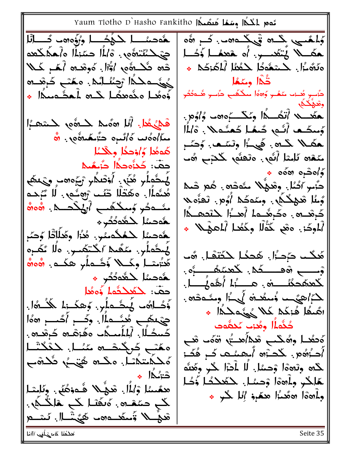Yaum Tlotho D`Hasho Fankitho المُعَمُّم الله Yaum Tlotho D`Hasho Fankitho وَمُاهَسِي بِكَ وَسَيَكْلِ مِنْ الْمَسْرِ وَهُو حَيْكُمُهُمْ، وَ}1ًا حَسَّرْكًا و{ْهَدَكَتْهِ هَكَــــلا يُتَعَمــــو. أو هَعهــا وُحُـــا دْهِ ثَكْـْهُمْ إِذًا. هُوِهْدُه أَهْمِ كَـْلا ەنھُنُّا. كىتىھُەدَا كىمُنا ، كَاكْزْكْمْ ﴾ ذُكَّا وسُمُّا يُهْدَدُ الْأَرْجَنُكُ أَمْدَ عَمْسَهِ حَرْهَدِهِ دَّاسِرِ هُــْاب مَنْعُسِرِ وَ16% مَنْكَافَتِ دَّاسِرِ هُـــدَتُتُر وَّەمُدا ەڭمەنگىل كىرە ئاھشىمىدا ھ قْمَحْكُمُوا بِ أَمَّا هِمَّكْ كَمَّةٌ مِنْ الْمَسْتَقَامَ وُسكَـٰهَا أَنَّـٰهِ كَـٰهُـا كَعنُـٰهِ\ . ةَالمُأَا  $\stackrel{*}{\bullet}$ . مِمَا)ەەك كَاللَّهِ دَائْمِكْمَلَّا مِنْ مَ هَكُمْ كَلُّهُ فِي أُولَّسُهُ، وَصَبِّر كَدِّمُوا وُ}وْحِكَا وِيْكْتَار مَعْدَهِ كَلَّمْلَ أَنَّهَجَ دَلْقَتَهِ لَكُمْ مَا مُهْمَدِ حقَّ: كَدْزُهِجْهُلْ جُنِيفُيهِ لَهُمْ الْمَوْلَمِ وَالْمَوْلَمِ وَإِلَيْهِمْ وَالْمَرْضَى وَالْمَحْمَلُومِ وَالْمَحْمَدِ دَّىبِ ٱكْبُل. وِشَرْيُلا مِنْدَدُه . هُم شَمْ هُدُماً. وَهُدَلَا تَبُّبُ رَهِيُمِ. لا تَبْحُم وَْمِلًا مِّدْيَكُمْ). وَسَّحَكُمْ أَوُمْ. تَعَزُّهْ ١ مْسَمْر وَمِىكُفْب أَرْكِكْتِكْ. 7ْ20ْ كَرْهْدِهِ . هَكْرِهُدْهُ أَهْدُرُ لَكَتْعَهُمْ الْمُ ھُەھى*ئا* كىشەككو \* أُمُوحًا. وهُم خَفًّا وحَعُدا أَمْاهِمْ \* \* حِفْحِمِبُل كَـهُكُومَيُنِ. هُذَا وِهَٰلَاتُنَا وَحَبَ لْمِحْمَلُو. مَعْصُدْ ٱلْحُتَّمِّسُو. وَلَا تُكْبَرُه مَكَــٰ حَرَدُ: هَـدُــا كَـحَتْهَـا. هُــ هُتُوْسَطَ وَحَكُمْ وَضُحِلَبٍ هِكُدٍ . وَهُوَ وَ  $\hat{\mathbf{e}}$  $\longrightarrow$   $\hat{\mathbf{e}}$  $\longrightarrow$  $\hat{\mathbf{e}}$ . ِ هُدَ*مِنْدا لِحَ*ثُد*ُدُو ﴾* حقّ : لِمُعْلِّمُهُمْ وَهِ هُلْ لام الشيخ المسترك المستقلة في المستقلة بمستقلة بمستقلة بمستقلة المستقلة المستقلة المستقلة المستقلة ا وَّحُـاهُٮ ڕۢٮڞٞـڡڶؙۭڔ. ۅؙۿڬٮڹڶ؉ڴؗـۿٳ. \* الْمُكْمِنْهِنْ أَكْفَرْ مَكْنَةُ الْفُبْشَ حَيْبِهِـ هُدُواْ. وَكَـــ أَكَـــ هَا كُثْمَلُّا وهُزم كَحقُّوت كَسْحُلًا. {لِمُلْمَـــكَابَ دَفَّةِتْمَــْ دَرْشَــْ دَ. َهُحِفْطٍ وِرَهُكْبٍ مِّكْلُفِتُو وَهُمَّتَ مَّتَ ەمشى كېڭىشى مىئا. خىڭنىل أُهزُوهِ . لَكَهزُوهِ أَلْبَعْسُكَ كُلِّ قُكِّ: ەلكەنتەتل. ەلگە ھاتىپ ئىلىۋى كُنُّ وِتْحَاهَا وْحِسُلْ. لَا لْمُتَزَا لَحْدٍ وِهَنَّه دْنُكُمْ \* هَلِكُو وِلْمَوْهَا وْحِسُلْ. كَتَعْكَصُلُ وَٰصًا همُسْدًا وْالْمَالِ. شَيْبُلا هُـدَوْهُهُ. وِلَاسْل وأردةا دهَنا مكرد إلا كُلِّ \* كَے حسَّف، هَيقَنا كَے هَانَدُكَمِ. هَيْ لا تُسطُده من هُنْ اللَّهِ لَمْسَمْ تَعَادُ السَّمَاءُ السَّمَاءُ السَّمَاءُ السَّمَاءُ السَّمَاءُ السَّمَاءُ السَّمَاءُ السَّمَاءُ السَّمَاءُ السَّمَاءُ السَّمَاءُ السَّمَاءُ السَّمَاءُ السَّمَاءُ السَّمَاءُ السَّمَاءُ السَّمَاءُ السَّمَاءُ السَّمَاءُ السَّ Seite 35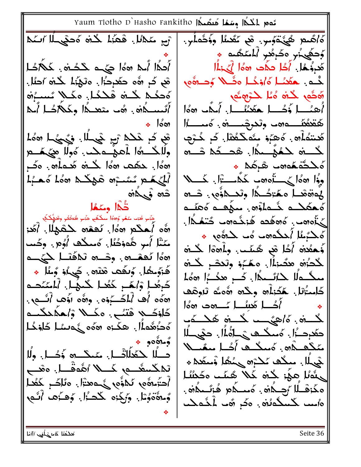Yaum Tlotho D`Hasho Fankitho |أَشَاء بِمَعْهُمْ الْحَمَارِينَ Yaum Tlotho D`Hasho Fankitho َّتِ مَكَّلًا. فَعَذَا كُنْهُ مَحْيَىلَا ٱسَكَّا َهُ/مُـم هُيُّةَوَٮِب. هَي مُعْمِلُ وِذَهْمَلُهِ. وُحَيْيٌّ وَحَامِدٍ ٱلْمُنَصَّدِ ﴾ أَحَمَّا أَـهِ مَاهَا جَهْدِهِ حَكْـهِ. خَلَاكُمْـَـا كَعْبُوْهُمْا. أَهُا تَكُفَّ 10% إِيُّهَٰذَا هْمِ كَرِ هُ٥ حَعْدِحُرَا. ٥تَهَذَا كُنْ آحَلًا. لْعَـٰهِ . لَعَقْصًا وَاوْحُـا وَشَـْلًا وَحَـٰثَوْهِ، أَهُجُمْ لَحْدَهُ هُمُّا لِحَرْوِيَهُمْ إِلَى الْمُسْتَمَرِ ەْھكىلى گىزە قىلىگا. ەڭىلا ئىسىرۇ أَتَسسكُفَ: شَعب مَتَعبدُا وحَكِلاَحُمِا أَسْلَا هُتَعْتُمُـــــــــــة، وَتَحْرِجْــــــة، هُمــــأَ း ၂၀၀ هُمْ مَمْ حَمْدٍ رَبِّهِ خَمْلًا. فَيُحِمُّد مِنْ مَمْ كَعْنْتُهَارُهِ ﴾ [وَهَجُو مِتَمَكَّنَاهُمْ أَمْرٍ لَهُــوْتِ كُـــة لِلْــمُمْـــمدُا. هْـــــكُمْ تْـــه وللكسؤا لمعهومهم وألا محكك  $\bullet$  AÓ $\rho$   $\bullet$   $\bullet$   $\bullet$   $\bullet$   $\bullet$   $\bullet$ ان دهُه عليه عليه الله عليه عليه من وِوّٗا هِءُا کِے آءه کَدُے آلِ کَے لا لْمُ يَعْمَلْ يَسْتَرْدُ \$ لَكُمْ مَا يَعْمَلْهُمْ لَمْ يَعْلَى الْمُسْتَرَبُّهُمْ مَا يَعْمَلْهُمْ لْمَوْهَدٍ مَعْبَدُهُ وَتَعَلَّمُ مِنْهُمْ وَقَالَ مِنْهُمْ مِنْهُمْ مِنْهُمْ مِنْهُمْ مِنْهُمْ مِنْ شه قريكانه شُمْ <mark>( وممُـهُ)</mark><br>چَّاسِ هُناس مَعْرِ وُها محكَّم حَّاسِ هُمَنُنُو وقَوْلِكَمْ) ەھكىلىم ئىملۇق . سۇھىم كەنئىم لْكُتُوهِ وَمَعْدَدٍ هُوَجَدُوهِ وَحَتَّقَدُوا . هُه أَحكَم ههُا. تَعْقَدُ حَكْمِلًا. أَهُدْ أَهْكَتُمْلَ أَحْكُمُهَا مُا كَلَّةُ مِنْ مَحْمَدَةً مَنْنَا أَمِرٍ هُودُتُا. هَمكُكَ أُوُمْ. وكَت ذَهِقُدْهُ أَحُلْ هُمْ شَمَّى . وِلْمُوَاْ لَكْتُهُ الأصف، وشعا تَمَاهُمْهَا لَيْسَمَعْ لْحَدُوْهِ هَدَّمَ; الْمُ مَكْرُوْ وَتَحْصَرِ لَحْسَرَهُ ْ هَزَوۡ مَعۡا ﴾ وَىعۡصَدُ شَنۡنَ ﴾ . حَيۡمَاوۡ وَمِنۡلُ ﴾ میگےلا کائملاً. کُم ھگے اچھ كَرْهُمَا وْأَهْبِ كَعُمَا كَتْبَهَٰمَا. أَمْلَئَتُمْتُ كَلْمِنُرْلَلِ. هَكَرْلُمْ وِكْلُهِ رُهُومُه لْلوقْف 600 )ُ لَاحُسَبُوْهِ . وِ30 أَوَّهَا أَلَسُمْ . أَحْــا هَسُــا مُـــــهڢ هوَّا كَلْوْكَسِلا قْتْئَبِ. هَكْسلا وْأَعْلَمْكْسُمْ گە: ئاھۇسى گەن ئەكسە ەُدَىْشَمالْ. ھكىزە ھەھ ئەسئىل كافچىل حَفْدِهِــزُا . هُمكْــف يْـــأَهْلَمْ . هِجْيِــلَه  $\ddot{\bm{\gamma}}$  ,  $\dot{\bm{\gamma}}$  ,  $\dot{\bm{\gamma}}$ مَكْمَدُونَ وَسِكْنَ أَصُلِ سَقَسِلًا حسُلًا حِكْعُلُاتْسا. مَحْكَمِ وَجُسَا. وَلَا سَمَعَهُمْ المَمْرِ 720 مِنْكُمْ مِنْكُمْ بِالْمِرْكَمَ تَمْكَسِعٌتُ مِنْ كَتَبَهُمْ أَهْوَقْتَ أَنْ وَهُبَ لَمَثْمَا هِيْمَ: كُلّْهُ مَكْ يَهْهَ لَأَهْلِي أَحْتَنِحْقَى كَمَوْقٍ فَيَحْمَدْتَهَا . وَثَلِكَمِ لَحَقُداً ەڭزقىلا ،چىڭخو. كىسگى قۇئىيگچو. وَ وَقَوْمًا. وَرَبِّ: مَكْحَدًا. وَهِذَهَا أَنَّهَ ەكسىس كىنىڭگەن قۇم بۇ ئايگىمك

المُأَا رِجَامَ لِمَا الْمُكَمَّ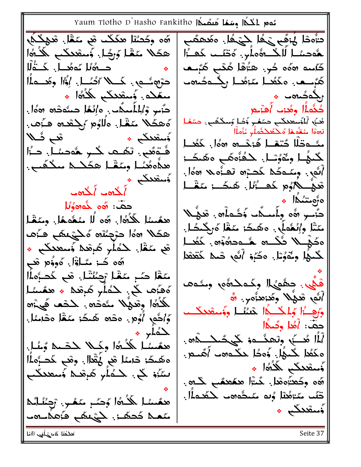Yaum Tlotho D`Hasho Fankitho |أَشَاء بَعْضِهُمْ الْمَسْمَاء هُ٥ وِحُصُنْا مِكَكَّبٍ مْعِ مَغْاً. مْمِكْكُمْ حِنْمَعْهُ . لِعَٰنَ لِمَنْ حِفْنِهِ لَمْ صَبْحَةٍ مِنْ عَامَةٍ هكلا مَقْا وُرِجًا. وَسقدكَبِ لَكُرُّهَ هُوصِيًا لَلِكُــوُولَىٰ. وَقَيَّـب خَفــزًا دەُنا ئەھْل. كَذَٰالَ كَامِيه 200 كُو. هَنُوْهَا هُنْبٍ هُزُمِيه كَبُسِعٍ فِي مَكْفَسًا مِنْهُمَا وَكُنْدُومَا | حَرْوَشُنُونَ كَسَلاً ٱفْسَارِ. إِذًا وَهُسْمَلًا مسَمَلَاءِ. وَسَعْدَكَمِ لَمَدْتُهَا \*  $\ast$   $\sim$ ന്ക് $\cdot$ | كُثْمَلُّا ومُّذِب أُهْزَمِهِ دَّمَىرِ وْٱلْمَلَاسَةَى وَٱلْعُلَّا حَسَّادُهُ ۞ أَلْ هُنَّىٰ ٱلمُفْسَعِدِكُبِ حَسَّمُ ٰ ذُكَر مُسَكَّفَبِ. حَسَّمًا<br>ثَ¤ةَا عُقْهَهَا هَكَعُلاَشَمَلُو غُثَمَلَا هُهكُلا مُقْلَ وَلَلْهُمْ رُكِّعْدُه فِأَمِّ. شے شُلا أوسقنكم \* محْــوقال كَتْعْـــل كُرْحْـــره روهُل. كَعُنـــل فَتِمْعٍ. تَهُـم حُـرٍ هُوصُـل. حـُرْا لْكُنّْهَا وِثَةُوْسًا. كَـٰھُزّْەكْب ەھْنَكْــز هِدْهِ مُنْسَلِ وَسَفْسَلِ هَكُنْدُ مَا مَحْكُفَبٍ . أَلُّهِ. وسُمكُمْ لَحَدَّرَه تَعَزُّه ٧٥. وُسقدكم أكلما أكلما قْدِيْنِ دَارُهِ رَجْعَتُ زُلْلٍ. هُنْكُسِرْ مَنْقْسَل ە ئېتنىڭ \* حقّ وَه هُووُلا دَّمَـــرِ 6هُو وِلَمــدَّمـ وَحَـُـولَمَنْ وَحَـولًا هِمُسْمًا لِكُثُوا. وَهِ لَا سُعْوِهَا. وسَغْرا مَثْلُ وِإِنْعُهَلَىٰ. وَهَبِكُ: مَنْقُلُ وَرِجُبِكُمْلَ. هكلا ههُا حرَّجِئْتُه هَلْيُعَهُمْ هِنَّهَم هَكُمْ الْا ضُلُّــــ هُـــوْهُوْرُهِ . لَكُعُـــا مْعِ مَنْقَا. حَدُاُمٍ كَبِرْهُمْ <del>ذَ</del>سْعَدَكَنِي \* لْكُنَّهَا وَثَوْمًا. وَكَرَوْ أَنَّقَ شَيْءٌ كَقَفْقُوا هُه کُمْ سُمَاوَّاً. هُوؤُهِ شَي مَعْقًا حَبْ مَعْقَا رْجِئْتْنَا. هَي كَحَزْمَاًا فَمِّي. حَقَّفَىُلا وِكُمْحَدَّةُو وِمِنُمْعَهِ ەُھَرَى كَيْ. كَمُلُو هُرِهُكَ \* هَمُسُلَّا أَنَّه شَيْلًا وَهُزْهزُومٍ. <mark>\*</mark> لَكَمُّا وْتَعَهْلًا مُدْدُهِ بِهَكْمَا فَيْهُرُهِ وَوْدِ أَلِيَهِ لِمَكْلِمًا هَنْنَا وَوَسْقَعْكَب َوۡۡاٰهُم الۡوَٰمِ . ٥٥-٥ هَدَّ مَنْقُلُ ٥٥-١ |حقَّ: أَهُل وصَّهُل  $\ast$  yhad أَلَمَ الصَّنَىٰ وَتَنصُدُدُ لَّكُمِيكُمْلَاتِ \$10 . همُسْلًا لَهُدُوا وَكَلا لِحَصْلاً وُسُلًّا. ەڭگىل گىچُل. وُەڭل ھگەھە /َگىــــــــو. ِ مَعْنَكُمْ خَامْلًا هُجْ يُقْدَلَ وَهْدٍ خُصَّرُهَا ا أَوْسِقْتِكُم لَمَدُّهُ \* بْنَتُوْمٌ لَكَى بِهِ حَكْمَاتٍ كَبِرْهُمْ وَمُتَعَمِّكُمْتِ هُه وِحُمْتُوهْا. جُنْزَا مِعْمَمْبِ لَكِ و. تْتُب مَّـٰٓرْهُنْا وُن مَّىثُوهِ ۖ كَـٰهُدماً!. همْسْل لْكُاهُا وَحَبْ عَمْرٍ. ۚ رَجِئْلَكُمْ ۇمقىنگىي ھ سُمك حُصفٌ: لَكَ يَسْتَمَعُ الْمَعْمَدِ مِنْهُمْ النظار معاشره الفكعة Seite 37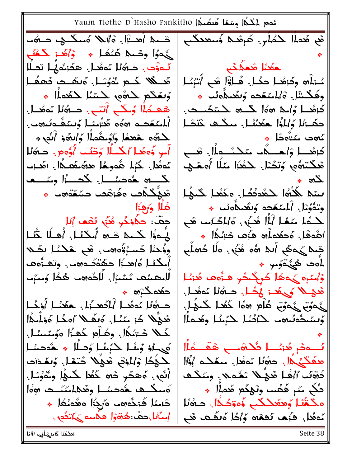Yaum Tlotho D`Hasho Fankitho المُعَمُّم الله Yaum Tlotho D`Hasho Fankitho هْمِ هُدَاًا لِحَدُاُمٍ. هُرْهُكُ وُسْعَدَكْبِ صْمِهِ أَهْشَرَا. وْأَلْمَلَا وُسِكْنِهَا صَبْوَت يُوءُا وشَيْعًا صُنُفًا \* وْأَهْبَ كَتْفَهَّعْ لَـٰهِۥۛٓڡ. حـهُلُا مُهمُـا. هكُ;هُولُا تَعـلُا معَّنْد شَمْهَيْم سُنِلُو وَدَهُما حَمَا. قَالَوْا هَي أَنْبَسُا كَسْـــاللا خَـــم خَّوُسْــا. ەُنھَـــت تَـھھُــا وُتَعَكَّمَ لَحَدُّهِ، كَسَبُلْكُمُهُ أَنْ \* وَفَكْتْلَ. ةْالمْمَعْدە وُبْعْدِدْەلُب \* ِ هُڪِماُ! وُحِکَّے اُتَنَـَى. ڪِرُهُ لَا يُوهُــا. كَرْهُمَا وُلْمَ 30\$ لَكْسُ لَمْسَكْسَد. لْمُسَمَّحَــد 200 هُنُّكَــل وُلسَّفَّـدَلَّـدهـ. حكَّنْ أَوْلَٰهُمْ حَقَّتُكُمْ. مِكْتَ جَنْصًا َ هُجُمُ مُعَظُمُ وَٱوۡعَٰٓهَاۢ ۖ وَٱلۡتَوۡمَ ٱلۡثَٰلِ \* ۖ | دُهڪ مَنزُهڪل ج دَهُـــا وْاهـــدٌ مَحْــُــواْلِ مْب أُسٍ وَدِهُمَا ٱلْحُسَلَا وَحَتَمَتَ أَوْدِهِ . دَهُلَا مُعمَّل كُمُّا هُجُوهَا هِدَّە مُعْصَلًا. (هُدنت مْكْتُبُوهِ وَتَحْتَلْ. حَقُدُا مَثَلًا أُوهْنِي ك به هُودِسُه بان كُحِبُوْلِ وَيَمْسِعُو  $\therefore$  of بِسْمَ لَمُدُّهُا لِحَقُودُهُا. وَكَعُدا كُبِهَا هُدِيكُدُهَ وَهُرَهُهَا حَسَّقَةِوهَا ﴾ وتَدُّوُمْاً. أَمْلَمَّهُدَا وُللَّكَلَّافُكَ ﴾ هُلا ورَهِّ;ا َ حِمَّا: حَذُوْخُو مُنَّىٰ تُمْعَا إِثْلَ لْحَــُمَا مَعْصَا أَلَمَا هُــَيْ. هَالْمَــَامِب هُبَ لْمِحْوَٰا لَكَــمِهِ ضَبْحَــدًا لِمَــا الْخُطَــا ٱهُوقَا. هُجَعُداً ۞ قُرْهَا شَرْبُكَمَا ﴾ وذُهْدُ ضَمَيْرَةُ90، ثُمّ هَكْسًا بِصَلَّا صَدْهَا الله مِنْهُ مِنْهُ مَا أَ حِكْمِيَ صَحْرَ مِنْ إِمْكْنُـا هُ/هـُ:ا حَهَّةَصُــه و.. وِنْعَـزُهِ عَ أَمَادَ هُيَّةَوَّسِ \* وْامْدِهِ كِـهِـهَا خَـرِيْكَـجُـو هـزُهِ مُدْئَـا اللحميُّعا يُسُّبُل. لَاخُوها حُكْل وُمِيَّا شَدْمَةَ أَنْشَاءَ صَلَّىٰ الْمَسْرَحَةِ مَسْرَحَةٍ مِنْ الْمَسْرَحَةِ مِنْ الْمَسْرَةِ مِنْ الْمَسْ  $\bullet$   $\circ$   $\sim$   $\bullet$   $\circ$   $\bullet$ حَدِيُّهُ لَا مُوصُّد الْمُنْكُوبُ لِمَعْنَظِ أَوْجُدا يْهِمْ لَكُفْ اهْمْ مِلْمْ يَهْدُ بِنَهْمِ مِنْ الْمَجْمِرْ شَمْلاً مَّزْ مَعْمًا. كَعَصْلاً مَعْمًا كَوْلَمْ الْمَ وُسَمَّدْمُدُه حَاكِمًا حَبَّمُا وَهُدَاً كَمِلًا شَتْئِكُلْ. وهُـلُع كَعِنُرْ هَوَمُنْسَلًا. كَيْخَافَ وَمِنْظِ حَيْضًا وَصِلًا ۚ \* حَقَّصِنًا ۖ تُـــوثَرِ هُـٰٓئُـــا ثَكْرَهْـــــى هُـقَــــهُـلَا َكَيْݣَا وْٱلْمَوْتَى شَيْلًا كُنْعْلَ. وُنَعْدَآت هَفَكَيْهَا. دَوْمًا مُومُدا. مِمَكَّد إِذًا أَلَّهِ . هَ هَكُو حْمَد لَكُفُل لَكُنَّهَا وَشَوْسًا . دُةَمَكَ ٱلصَّا هُدُما تَمُّدَىٰ, وَسَكَّدَ ثَكَمْ سُمْ فَقُسَد وِلْكِلُمْ مُحَمَّلًا ﴾ هُمكُــف هُوَجِسًا وَهُكَلَمْتُنَــْتِ هِوَا خْلِمُلْ هُبْخُوهِ وَيُجْزَلُ وَهُدَنُهُل ﴾ مكَمُّلْمُ وَمِعْطِكُمٍ وَوَوَحُكُلٍ دَوْمًا وَ إِسْتَمَاءِ حَمَّاءَ هُوَ وَالْمَسَامَ ﴾ لِتَحْفِيءِ مُوهُداً. فَزَها تُعِفُرُه وَإِجْلَ وَتَقْتَبُ هُبَ المثالة معفائيها الفكفة Seite 3F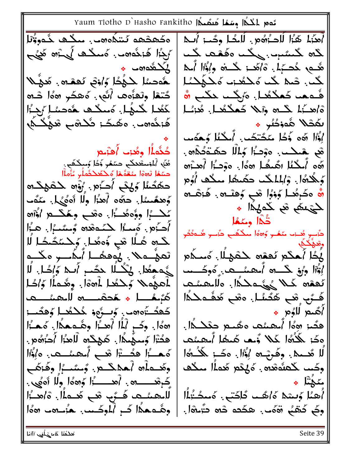Yaum Tlotho D`Hasho Fankitho المُعَمُّم الله Yaum Tlotho D`Hasho Fankitho ەكھكھە ئىتكەھە . مىڭگ ئەوۋْتا أَهَذَا هَٰذَا لَاحِنُوهُمْ. لَاحْط وصَّر أَبِيهِ بَهْبُوا كَمْنَدّْهُ مِنْ مَسْلَمِكُمْ لَيْ أَبْدَآهُ هَيْ كم كم كم مكر، ببشتر مك هُمِ حُدبًا. ةَاهَد: كُنْ وَإِذًا أَمِدً ككشهوه \* َ هُوَهِمًا ۖ خَرُوُكُمْ وَاوْتَى نَعْقَدِهِ ۚ مَٰذَلِكَمْ ۖ لَا ىگىر. شىھ ىگ ئەخشىز ئەختىكىل كُنْݣَا وِلْعْزُەھ أَلُهْدٍ. ەُھكُو ھەُا شْھ قْـەھـَ كَـمْكَـقُـلْ. ەُرِكَــى مكّـب ، ﴿ كَعُدا كُنْهَا. هُنْكُتْ هُوَجِيْراً رُحِيًّا ةاهدًا كم وألا حُمكْعُما. هُزْمُما فَنِنُهُ٥ت. هَفَىكَ: ثَلْـ2ْمَح شَوْبُلُــكُلِ ىگىدا\ ھُەۈكْلُو ﴾ إِذًا هَ وَ ذُكِرٍ مَكْتَكَبٍ. أَمْكُنُا وَحَدَّمَت َكُثْمَلُّا ومُحزب أُقْنُبِهِ هْمْ هَيْكْتَ. وَوْتُرَا وُلْمَلَّا حَيَّقْتُحُدُّهِ. هُنَّهُ ٱمْلَوْسَعُدَكُمْ حَسَّعُو وَّجَا وَسَكَّحَمْ.<br>حَسَّمُا تَوَوَّا مُنْعَفَّهَا وَكَعَدَهُمْ وَنُوَمَأْا هُه أَمِكْنُا اكْمَعُا هِهَا. هؤكرًا أُهنَّوه وَلِكُلُّهَا. وْالْمَلْكُتْ حَكْتَهُا سَكُفْ أُوُمْ حَكَمُنَا وَلِكَ أَحَذَهِ وَيُوَه كَــتَمِكْــه <mark>۞</mark> ەكَرِئُعَـا وُوۡوُا ۚ شَي وَهنـُـه . فَرَعۡـه وُهِمُسْمَا. دَوَّه أَهْزًا وِلَا أَوْوَٰى!. مَدَّمَــ \* المُهْمَكْ مِنْ مِضْدِيْتُ ككبرًا وؤَهفُكُرا. هڤب وهَكَّكُمْ اؤْآه ذُكِرا وحَمْل أَدَمَنِ وَمِمَالَ كَتَمْ هُذَا وَمِسْمَرًا. هَـزَا دَّىبِ هُــْت مَعْــو وَادَّا مَكْـكَب دَّىــو هُــدَّتْتُو كَرِهِ هَـلَا هَي زَوهُـل وَجِــُـمَحَـمُـل لَا تعرف سنهْماً المُعْصِرِ مَكْسِمِ مِنْ يُطُ أُهكُمْ تُعْقَمْ حَمْدِلًا. مُسَكَّمْ إِذًا وِرُوَ كُلُّ الْحَمْدُ مِنْ وَوَكِّلْتِ يْجِمْعَكِلْ. يْݣْكُلْلْ حْكْسِرْ أَيْكُلْ وَأْكْتُلْ. لَلْا أَعِيْمِيا وَحِكْمًا لَمْوَهَا. وِهُـواً وَأَكْلَ تصنيفه المكصير للذ مهدة َفَـرَّبٍ هُـبٍ هُكُسُٰلٍ. هَي هُـفُـمطــٰهُا كَعْصُــُوْهِ مِ وَسَـرُّهِ ۚ هُكَــُفَــِ أَوْهَـُـــــز أَكُسوا الوُول  $\ket{\ast}$ هَمْ: هِهُا أَحْمَسُمْ مِعْمَمِ حَكَـــٰهِ!. 160 . وكَمِ أَلَمَا أَهْدُا وهُـمِهْدَا. هَمْهُ! هدُّآا وَسهُماا مَهكُله لَاهاْا أَحَاوُهِ . ەكز لْمُدُّەْلْ بُمْلا زُمْعَه كَسْفَا أَسْعَسُفَ كَمِسْرًا هَدْسَرًا هُبِ أَحْمِينَسِمٍ. وَإِذَا لَا مُّصِيم. وَهُوبْ5 إِنُّهُ!. ٥كُمْ لَكُنُّهُ! وهَدهلُه أهلكت . وُسئسبُلِ وَهَزَهَب وكَسا لْكَعَنّْەتْدە . كَالْحْمْ هُدَاْلْ سَكُف كِبِرْهُـــــــره . أُهـــــــُّا وَرَوهُا وِلَا أَوْي. | مَكْتُبًا \* المعشم فَجَبِ هَبِ هُدَالَ: وَأَهْدُرَا أَهْدُ وَبِيْدِهِ وَاهُبِ دُاجَتِي. وَسَجَّبُواْ ا وهُـدهدًا كَـر لْمُوكَـيب. هزُـــوب وددًا وِّکُم کُنْفُکُمْ وَهُوں وَ عَکْدَهِ دَيْمَا اللَّهُ عَلَيْهَا۔ الناأا رخ أخُملة المفكض Seite 39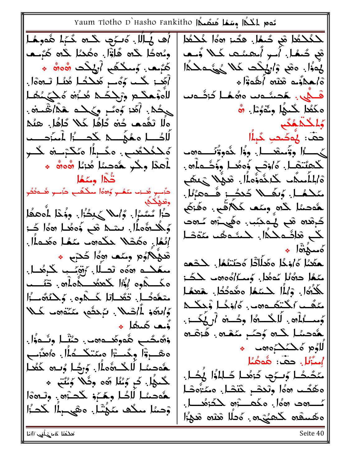Yaum Tlotho D`Hasho Fankitho المُعَمُّم الله Yaum Tlotho D`Hasho Fankitho أَه لَمَالًا. هُبَرَجَ حَدَّه خُبَرًا هُوهُا. لْمُلْكُلاً هُمْ شُهْلٌ. فَثُمْ: 30ْ مُلْكُلاً ونُحكَم حَده قَاوَّا. وهُمْنَا حَده هُبُسُ قَعِ صُمُلَ. أُسِرِ أَسْقِسُكَ كَتَلًا وُسَف كَبُرِهِ. وَسِكْكُم أَرْكَكُ قَادَةً ﴾ لِمُكْمِنُ مِنْ تَمْ يَاتُ الْمَحْمَدِينَ مِنْ الْمَحْمَدِينَ أَكِّنَ كُنْتَ وَقَصَرِ هَكْتُنَا هُنُنَا تَنْوَةًا. ٥)هلأبُمه مْنْسَ أَهْمَوْا ﴾ للْمَوْسِكُمْ وَرَبِّكُمْ هُـزُقَ مَكْيَـنُهُـا مَكْعُلِ كَمِيلٍ وِشَوْمْلٍ. ﴿ َولًا تَغْمِم حُقَ ثَافًا لَكُلا ثَافُلَ. هنُمْ اوَالْحَدْمُكُمْ حقّ في مُحَمَّدِ مَنْ لَاحُكِ مِعْهُكُمْ كُحَسَةُ أَسْتَرْصَحَتْ ەللىككىسى. ەگىرلا ەككترىن كىر حُ اللَّهُ وَقُصِفْهُ إِنَّ وَوُلَّ حُدُوقُهُ وَصَدَّمَهُ وَ كَهْتَتْمَا. هَاوْتَى وَهِ هُدَا وِوَكُــٰهِ هِ هِ ـأهدًا وحُـُـو ـهُـُحـِـئُـا مُُـزَّئَـا 7ُـُوهُ \* ەُ المامكى كىلگەۋْەلما. ھە*مىلا تىلگ* ذُكَرَا وحَكْمًا المسیح اللہ کے استعمار<br>اس اللہ کے اللہ کیا کہ اس کا اللہ کے اس کے اللہ کی اللہ کی اللہ کی اللہ کی اللہ کے اللہ کے اللہ کے اللہ کے الل<br>اس اللہ کی کہا کہ اللہ کے اللہ کے اللہ کے اللہ کے اللہ کے اللہ کی اللہ کی اللہ کی اللہ مَكْهُا. وَنَفَــلاً كَحَكْتٍ فُــوَمُرْكَلِ. هُ صَمَالِ لِلَّهِ مِنْعَمٍ كَلاَقِعٍ. وَقَوْمَهِ حَزَا مُسْبُرٍا. وُإِسْلاَ كَبِيضُوا. وِذُكَا لِمُوْهِدًا كَرْهُده هُمْ لِمُحَكِّبٌ. وَهَيْ أَمَّ مُحَكَّبٌ كَمِيكُمْ مِلَالٍ. يبتلط هُم خُومُها هو أو كُنز ݣُﺮ ﻗﺎﻟْـﻪﻟﻠﻪ! ﻟﯩﺌـﻪﻟﻪ ﻣﺘﻪﺗـﺎ إِنْعُلَ وَهُشَلاً حَكَّدُهَا عَمْلَ وَهُدَالًا. \* läguó هُدُبُلاءُم مِنْعَد هِهُ كُتَبَع \* هِعَمَا هَ/وَجُا هِعَلَاتْا هُجَنّْنَهُا. حَجْمِهِ مىگلىدە ھەد تصلل ئۆتكىب كىرىھىل. مَعْطَلِ دَوْنَالَ مُوهَالِ. وَمِسْأَأَوُوووبِ لِلْكُنْزِ هكَــــكُوهِ إِذًا لَكَعْعُــــكُمِلَهِ. تَتَـــب لْحُدُّهَا. وَالْمَالِ حَسَمًا وَهُوَدُدًا. هَعْمًا متْعُدْكَانَ تَعْكُلُّهَا كُلُّدُوهِ بِ وَكَنَّعُوجُوا مَكَّفَ، كَتْتَكَدهو، وَكَاوْجُا وْحِكْلَه وَاللَّهُ فَا الْمُسْلَا. تَبْحَثُم مَنْتُوهِ كَمِلا وَمسْلَمْلَهِ ﴾ لَلكُسْهُ اوحُسْهُ أَرْيَٰكُ: ُمُتَ هُنگا ﴾ هُوَصِيْلِ كُلُوهِ وُصِّعِ مُنْقَلُونَ فَزَعْلِهِ وْهُىصُبْ هُووِهُـــوەب. صُلْــا وِلُــووُا.  $\frac{1}{2}$ مفْرَةًا وِحُسْرًا مِمْتَكْــمُلًا. مَاهَنْب |إسْزُلْل: حقَّ: هُوهُمُل ـهُوَحِسُـلُ لَلَـكُـرُوُهِـلُولُ. وُرِجُـل وُسَـرَ بِكَعُبَـل مَكَنْشَا وُسَوِّي دُوْهُنَا شَالَاوُّا لِأَشَا. گَیْماً. کَرِ وَیُنَا ہُہ وِثَیْلاً وَیُنَبْ \* ەھَكُـــا ھەُا وِتْنْصَــْ جْنَصْـاً. مْمُتْوَصْـا هَ الله الله عَنَّ وَمَنْ اللَّهُ وَسَاءً وَ اللَّهُ عَلَّمَ ئے میں مواد مکعے وہ حکوم کی وْحِمْلِ مِكْفٍ مُكْتِبًا. وْهْيَجْرِلَا كَحَزَّا ەكسىقە كىھئى، مەكا شىشە شىئا المُنَالَ مِهْلُمُ سَالَهُ الْمُكَمَّةِ Seite 40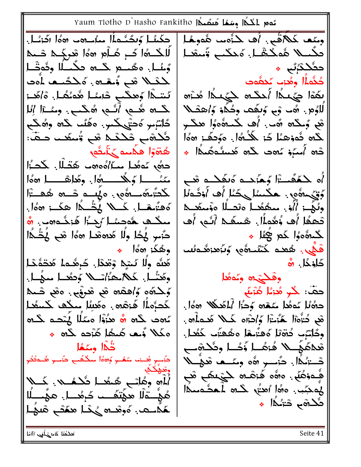Yaum Tlotho D`Hasho Fankitho المُعَمُّم الله Yaum Tlotho D`Hasho Fankitho

وِسَّعَا خَلَاقَهِ. أَهَا لِمَأْوَسَا هُومِهُا حكْمُلْمْ وُبِكْتُـمِلّْا مِبْلِيـرەب (16 آكَرْمُلْ. ىنىلا ھُەڭھْل. ەْمكى قْمىھىل لَاكْتُوا كُبِرِ هُنَامِ هَوَا هُدِجُتُ شَيْئًا وۡمُـٰـا). ەھُــــــم كــــــم ٯكُــــلَا وِثُوشَـــا حثَّكِبُبُ ٭ حُذُماُ وَهُنِب مُحقَّدت للتَملا شَع وُمقته؛ هَلْكُسُمَا لِمُوت م المُعرِض مكماً المُعرِّد اهْش َ تَسْـٰدًا وَهكْبِ خَامِئْـا هُـٰهَـٰكُـاً. وْأَهَٰــٰ; لَلُؤْمِ. ۞ في وَيعُف وِحُكُوْ وَاهِصْلا كما هُــم أَنَـم هُكْب . وَسُــٱلْ إِمْلَـ هْمْ وُحْدُهْ هُد. أَفْ كُمْدَةُهِ الْعَطْيَرِ كَاتَبْسِ ەُدْتَى كَسْدٍ. ەَقَمَّە كَلە وْھَكْم لكُ ه شُوهمُا هُ: لَكُـهُا . وَوُعفَـٰ: aoْ َ ثَكْلُوْبٍ شَكْتُكُمْ هُيَ وُسَعَّفٍ صَفَّةٍ: ه مِشْتُوا هِهُمِهِ ﴾ أَمْشُو دْهِ أُسِيَّوْ مُهجَدٍ لَكْلِهِ هُمْسَتُوَهُدِهَا ﴾ دهُ ، مُمعُدا ما)هُ معنى هَتْسْلَا. لَكْحَزَا أَه لِلْمَقَسَّةَ! وَحَبَّدَتَهُ هُنَّفَكَتَ هُبَ أَوْفَى الْمَرْ الْمَسْتَمْلِينَ وَهُمْ يَوْمَ مِنْ أَوْشَاءِ مِنْ وِيُّهُمْ: أَأَوْ. مِيعُعُمْلِ وَتَصَلَّلُ وَوْسِعُمْكُمْ َهُ صَّنِهُا. كَمِلاً يَضُمُّا هِكْ: «هُا. تَتْعَفُّا أُفْ وُهُّماً!. هَنْفُكُمْ أَنُّمَ أُف مكتف هُوصِيًا رَبِّ أَوْ دُرُ هُوَ مِنْ مِنْ مِنْ دُّمِرٍ لَهُمْا وِلَا هُدهَقِها هِهُا هَي لَحُكُمَا كُدةُهُوا كُم كِتُلْ \* قَمِّي. هُعده خَتْمُدةَى وَنَزهزشُمسُ | وهُكَزْ 50 \* مَٰنُه واللَّيْمِ وْمَحْلَ. كَبِشُـما مَحْشَمْـل كافحًا . ق ومَحْشًا. يَحْلاسِعْزُاتْمَلا وُحِمْدًا سِنُهَا. وقلتي ه وَمُوهُدا كُوحِكُمْ وَاعْتُمْ هُو هُدِوْمٍ. وَهُمْ شَعْطُ حقّ: كُمْ هُزْمًا هُزْمًى دەُنُا مُەھُا مَىْقُدە وَدُا آلمَٰعُكُلا (10\$). لَكَحَرُّه أَا هُزْهُ۞. وَهُبِئُلْ سِكُفَ لَكْسِعُدَلَ مُهد كُم في هُزْوَا مِمْلًا لِمُصَد كَمَ هْمِ حُتْمَالَ هَّنُتْزَا وَاحْتَرَه كَمِلاً هُدَاهِ . وكُلْتُبِ دُقْتَا هُفَّىْسْلَ هِ هُفَتْ حَكْدًا. وَمَكَلاً وَمِعَا ضَبْعًا خَبْرَهُمْ وَلَا وَلَا يَهْ ذْكَرا ومنْعُل شككُمكُلُّ فُرْهُــا وُحُــا وِثَكْـرْهِـــى ے۔ پر چینسلام<br>حزّیب مُلینا م*لطین وُدہ کا م*لکھیے حزّیب مُلم*حُکو*<br>مِقْمَلِکَلّا تْسْتَمْكُلْ. حَنْسَىرِ ۞ه وَمَسْمَهُ هُدْيَا فَهِ مِنْكُمْ وَهُوَ هُوَ مِنْ الْمَشْرِيمَ عَلَى اللَّهِ مِنْ أَلَمُ وَهُلْبٍ هُمُعًا ثَلَكُم ﴾. كَمِلًا لمُمحَبِّب. وَهَٰا أَهْتُهِ كُلُّهُ لَمُحَدِّدِهِمْ هُهْـــةُلَا ههُتَفَـــد كَرِمُــــا. ههْــــلَا ثَكْلُوم شَنُكُمَا \* لمَكْسِمٍ. هُوشَده يُحْمَلُ هَمَّشَمَّ شَهْمًا المُأَا رِجَاحَ لِمَا الْمُكَمَّ Seite 41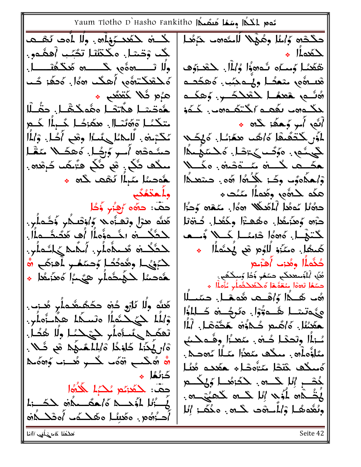Yaum Tlotho D`Hasho Fankitho |أَشَاء بِمَعْهُمْ الْحَمَارِينَ Yaum Tlotho D`Hasho Fankitho لَّكْتُهُ لِمَتَعْدِجُوْلُهُ وَلَا لَمُوتَ نَشْعَبَ حكْتُهِ وُاْمِلًا وِهُهْلاً لَامْتُوهِ حَرِّهُمْ ا كُب وْصْمْلْ. مْكْتْشْلْ تْكْبُبْ أْهِقُومْ.  $\cdot$   $\mu_{\infty}$ تَفَكَّنُـا وَمـاه نُـ20وَوّا وُالْمَالِ لِكَعْـرَوْف وِلَا تــــــــــوهُم، حَــــــــــو مَحْكَـمُتَـــــــــا. ەَكْتْكَتْبُوْمِ أُهِكْ مِوْلِ وَدَفَّزْ كُب هَدهُم، متعصًا وليَ عظيم، هُ هَڪُصد | هزم قُلا كَقْفُعْ \* ھُنُے مُعمُّا حُعْدَكَـبِ. وُھكُــُّــُ هُوصْمَا هِمْتِصْا وهُوحُنْهُا. حِقُـلًا للكلموما العُصم الكُتْصُمومان. لَكْتُو |أَلَٰهِ أَسٍ وَحَقَّةٍ لَكَ \* متكْسُا وْهُنْسْالْ. مْكْرْحُمْ جْهِلًا جْبُمْ تَخْبَنَ الْمَاءُ لِمَسْرًا مِنْ أَسْتَمَرًا مِنْ أَحْدَا وَالْمَاءَ لمُوْرِ كَتْتَكَسْفَا هَاشَا مِنْعَنْتِيل. هَاكِتْ حَسَّـُدْهُ أُسِي وُرَجُّـلَ. هُھڪُــلا مَنْقَـل الْمُعِيْمِيْكُمْ . اِخْتِيْرْ سَكَوْهِ . وَشَرِيْكُمْ مىڭك ئْكَي قى ئْكَ فَتْبَكَىا كَبِقْدَهِ . وْاهِدًاهُوْبِ وِحَيْزِ لِلْكُلُّهُ أَهُوهِ. حِسْعَكُمْ هُوصِمًا مَبِينًا نُهْعَب كُلُّهِ ﴾ وأحتمنه هَكُمْ لَحْدُّهِ، وَهُدَأَا مَنْتُتْ \* حقَّا: حَقَّه وَقِنُوا وَخُلَّا حَوْمًا مُوهَا أَلْمَعُلاً هَوَا. مَعْدَهِ وَحَزَا | هَٰكُمْ هَـٰٓرَل وِلَـْصَـٰٓوَى ۖ وَاوۡضَـٰهُم ۖ وَضُـُمۡلُم ۖ . جْزَه وُهِّنَهُا. وهُهِـتْزَا وِكَهُـا. كُـوْتَا لِحَدُّكُـــة اخْــوْوَاْلِ أُف مَٰخُبِثَــواْلَ. كَتْݣُولْ. كَاهْدًا خْلِسْهَا كَمْلًا وُسْمَ لحثُكُــة مُحـمأُهلُو. أَمكَـم كِلْــُملُو. كَعطَا. مِمَّزُو لَاوُم هُم يُحتَّم*اً*ا \* | كُثْمَلُا وهُزِب أُهْزَىع لْكَرْفِيُهِ وَهُدَدُكُمْ وُحِسَّعُهِ ۖ أَعْزَهُمْ ۖ رَّةٌ ۖ وَ هُنَّهُ ٱللَّأ<sub>َ</sub>سَع<sup>ُ</sup>لِكُمْ كَنَّهُرَ أَكُلَّا وَسَكَّكُمْ.<br>كَنَّهُلَّ لَهَوْا مِنْعَفَّهْلَ مُكْتَكَحَدَّدَانُر غُزُّهَالَ \* هُ الصُّنْعَةُ أَمَّرَتِهِ مِنْكُمْ مِنْ أَمْعَةٌ مِنْهُمْ مِنْ مِنْهُمْ مِنْ مِنْهُمْ مِنْ مِنْكُمْ هُ هَـــدًا وَٱقْـــمَــ هُمشَـــاً. حمّـــلَّا مَّنْهُ واْلا نَارُو حُفِّ حَكْشَىشُـملُرٍ مُّـزِب. وَيُوَتَسْمَا هُـوَوُّوْا. وَتُوجُــةَ كَــالمُوَّا وْالْمَا حَيْحَشُواْ وْتَسَكُّلْ هِكْسَوْمَارِ. هَعُنُنُا. هُ/مُبِع حُكْوُنَ هَجْتَجْمًا. [1] تَعَصَّـط لِلْمَـرْكِمُ بِلْمَلْمِ مِلْمَـرِ مُـصَفَّـرَ . سُنِطًا وتَحدْا حُــٰةٍ . مَعْسُرًا وِقْـٰهَـٰمَـٰبُ ة/ريكَنْهُا حَافِحُا ةُ/المُعَمِّكُمْ هُو شَلا. عَمْلَوْهِ أَنْ مِنْ مَحْمَدُوا مَثْلًا مُحْمَدًا. أَنَّ الْمَكْسَبِ أَفَامَتْ لَكْسِبٍ هُسَنَتْ وُالْمَمْكَلِمَ كَسِكْفَ حْتَضْلَ مَعْتُوصْلَةٍ حَفَيْدِهِ هُنُا لِ **َڪَنُهُ**ا ﴾ حقّ فكفرتم تمثل للأهْ يُشْكُلُه لَمُؤْمِدٍ إِمَّا لَكُسُ لَكُمْتَهُمْ ... لَمِسْئُمُل لَمُؤْهَبِ هُ أَهْشَمْ مَلْحَمَدِ بِهِ الْمَشْرَفِينَ وَنُعْدِهُا وْٱلْمَسْوَدِ حْدِهِ . دَخُصُرْ إِنْا أَحزُهُم. مَعْسُل معْكِمُب أُمثْكِمُ المُأَأَ لِمَا يَوْلَى الْمُكْمَة Seite 42